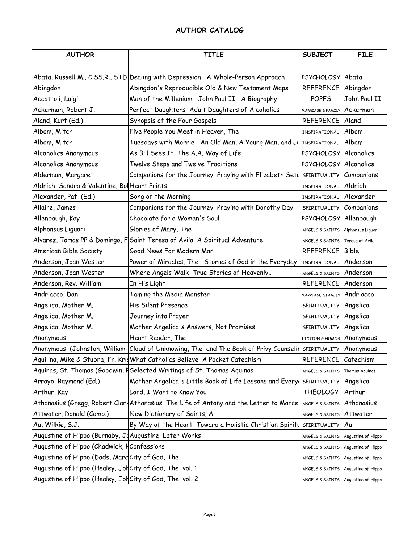| <b>AUTHOR</b>                                           | <b>TITLE</b>                                                                           | <b>SUBJECT</b>                     | <b>FILE</b>        |
|---------------------------------------------------------|----------------------------------------------------------------------------------------|------------------------------------|--------------------|
|                                                         |                                                                                        |                                    |                    |
|                                                         | Abata, Russell M., C.SS.R., STD Dealing with Depression A Whole-Person Approach        | PSYCHOLOGY Abata                   |                    |
| Abingdon                                                | Abingdon's Reproducible Old & New Testament Maps                                       | REFERENCE Abingdon                 |                    |
| Accattoli, Luigi                                        | Man of the Millenium John Paul II A Biography                                          | <b>POPES</b>                       | John Paul II       |
| Ackerman, Robert J.                                     | Perfect Daughters Adult Daughters of Alcoholics                                        | MARRIAGE & FAMILY Ackerman         |                    |
| Aland, Kurt (Ed.)                                       | Synopsis of the Four Gospels                                                           | REFERENCE                          | Aland              |
| Albom, Mitch                                            | Five People You Meet in Heaven, The                                                    | INSPIRATIONAL                      | Albom              |
| Albom, Mitch                                            | Tuesdays with Morrie An Old Man, A Young Man, and Li                                   | INSPIRATIONAL                      | Albom              |
| Alcoholics Anonymous                                    | As Bill Sees It The A.A. Way of Life                                                   | PSYCHOLOGY Alcoholics              |                    |
| Alcoholics Anonymous                                    | Twelve Steps and Twelve Traditions                                                     | PSYCHOLOGY                         | Alcoholics         |
| Alderman, Margaret                                      | Companions for the Journey Praying with Elizabeth Setd                                 | SPIRITUALITY Companions            |                    |
| Aldrich, Sandra & Valentine, Bol Heart Prints           |                                                                                        | INSPIRATIONAL                      | Aldrich            |
| Alexander, Pat (Ed.)                                    | Song of the Morning                                                                    | INSPIRATIONAL                      | Alexander          |
| Allaire, James                                          | Companions for the Journey Praying with Dorothy Day                                    | SPIRITUALITY Companions            |                    |
| Allenbaugh, Kay                                         | Chocolate for a Woman's Soul                                                           | <b>PSYCHOLOGY</b>                  | Allenbaugh         |
| Alphonsus Liguori                                       | Glories of Mary, The                                                                   | ANGELS & SAINTS                    | Alphonsus Liguori  |
|                                                         | Alvarez, Tomas PP & Domingo, F Saint Teresa of Avila A Spiritual Adventure             | ANGELS & SAINTS Teresa of Avila    |                    |
| American Bible Society                                  | Good News For Modern Man                                                               | <b>REFERENCE</b>                   | <b>Bible</b>       |
| Anderson, Joan Wester                                   | Power of Miracles, The Stories of God in the Everyday                                  | INSPIRATIONAL                      | Anderson           |
| Anderson, Joan Wester                                   | Where Angels Walk True Stories of Heavenly                                             | ANGELS & SAINTS Anderson           |                    |
| Anderson, Rev. William                                  | In His Light                                                                           | <b>REFERENCE</b>                   | Anderson           |
| Andriacco, Dan                                          | Taming the Media Monster                                                               | MARRIAGE & FAMILY                  | Andriacco          |
| Angelica, Mother M.                                     | His Silent Presence                                                                    | SPIRITUALITY Angelica              |                    |
| Angelica, Mother M.                                     | Journey into Prayer                                                                    | SPIRITUALITY                       | Angelica           |
| Angelica, Mother M.                                     | Mother Angelica's Answers, Not Promises                                                | SPIRITUALITY                       | Angelica           |
| Anonymous                                               | Heart Reader, The                                                                      | <b>FICTION &amp; HUMOR</b>         | Anonymous          |
|                                                         | Anonymous (Johnston, William Cloud of Unknowing, The and The Book of Privy Counseli    | SPIRITUALITY                       | Anonymous          |
|                                                         | Aquilina, Mike & Stubna, Fr. Kris What Catholics Believe A Pocket Catechism            | REFERENCE Catechism                |                    |
|                                                         | Aquinas, St. Thomas (Goodwin, FSelected Writings of St. Thomas Aquinas                 | ANGELS & SAINTS                    | Thomas Aquinas     |
| Arroyo, Raymond (Ed.)                                   | Mother Angelica's Little Book of Life Lessons and Every                                | SPIRITUALITY                       | Angelica           |
| Arthur, Kay                                             | Lord, I Want to Know You                                                               | <b>THEOLOGY</b>                    | Arthur             |
|                                                         | Athanasius (Gregg, Robert Clar   Athanasius The Life of Antony and the Letter to Marce | ANGELS & SAINTS                    | Athanasius         |
| Attwater, Donald (Comp.)                                | New Dictionary of Saints, A                                                            | ANGELS & SAINTS                    | Attwater           |
| Au, Wilkie, S.J.                                        | By Way of the Heart Toward a Holistic Christian Spiritu                                | SPIRITUALITY                       | Au                 |
| Augustine of Hippo (Burnaby, Jo Augustine Later Works   |                                                                                        | ANGELS & SAINTS                    | Augustine of Hippo |
| Augustine of Hippo (Chadwick, HConfessions              |                                                                                        | ANGELS & SAINTS                    | Augustine of Hippo |
| Augustine of Hippo (Dods, Marc City of God, The         |                                                                                        | ANGELS & SAINTS Augustine of Hippo |                    |
| Augustine of Hippo (Healey, Jol City of God, The vol. 1 |                                                                                        | ANGELS & SAINTS                    | Augustine of Hippo |
| Augustine of Hippo (Healey, Jol City of God, The vol. 2 |                                                                                        | ANGELS & SAINTS Augustine of Hippo |                    |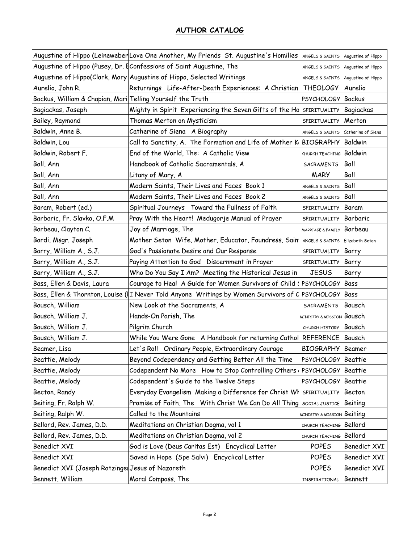|                                                            | Augustine of Hippo (Leineweber Love One Another, My Friends St. Augustine's Homilies | ANGELS & SAINTS Augustine of Hippo   |              |
|------------------------------------------------------------|--------------------------------------------------------------------------------------|--------------------------------------|--------------|
|                                                            | Augustine of Hippo (Pusey, Dr. [  Confessions of Saint Augustine, The                | ANGELS & SAINTS Augustine of Hippo   |              |
|                                                            | Augustine of Hippo(Clark, Mary Augustine of Hippo, Selected Writings                 | ANGELS & SAINTS Augustine of Hippo   |              |
| Aurelio, John R.                                           | Returnings Life-After-Death Experiences: A Christian                                 | <b>THEOLOGY</b>                      | Aurelio      |
| Backus, William & Chapian, Mari Telling Yourself the Truth |                                                                                      | PSYCHOLOGY Backus                    |              |
| Bagiackas, Joseph                                          | Mighty in Spirit Experiencing the Seven Gifts of the Hd                              | SPIRITUALITY Bagiackas               |              |
| Bailey, Raymond                                            | Thomas Merton on Mysticism                                                           | SPIRITUALITY                         | Merton       |
| Baldwin, Anne B.                                           | Catherine of Siena A Biography                                                       | ANGELS & SAINTS Catherine of Siena   |              |
| Baldwin, Lou                                               | Call to Sanctity, A. The Formation and Life of Mother K                              | <b>BIOGRAPHY Baldwin</b>             |              |
| Baldwin, Robert F.                                         | End of the World, The: A Catholic View                                               | CHURCH TEACHING Baldwin              |              |
| Ball, Ann                                                  | Handbook of Catholic Sacramentals, A                                                 | <b>SACRAMENTS</b>                    | Ball         |
| Ball, Ann                                                  | Litany of Mary, A                                                                    | <b>MARY</b>                          | Ball         |
| Ball, Ann                                                  | Modern Saints, Their Lives and Faces Book 1                                          | ANGELS & SAINTS                      | Ball         |
| Ball, Ann                                                  | Modern Saints, Their Lives and Faces Book 2                                          | ANGELS & SAINTS                      | Ball         |
| Baram, Robert (ed.)                                        | Spiritual Journeys Toward the Fullness of Faith                                      | SPIRITUALITY                         | Baram        |
| Barbaric, Fr. Slavko, O.F.M                                | Pray With the Heart! Medugorje Manual of Prayer                                      | SPIRITUALITY                         | Barbaric     |
| Barbeau, Clayton C.                                        | Joy of Marriage, The                                                                 | MARRIAGE & FAMILY Barbeau            |              |
| Bardi, Msgr. Joseph                                        | Mother Seton Wife, Mother, Educator, Foundress, Sain                                 | ANGELS & SAINTS Elizabeth Seton      |              |
| Barry, William A., S.J.                                    | God's Passionate Desire and Our Response                                             | SPIRITUALITY                         | Barry        |
| Barry, William A., S.J.                                    | Paying Attention to God Discernment in Prayer                                        | SPIRITUALITY                         | Barry        |
|                                                            |                                                                                      |                                      |              |
| Barry, William A., S.J.                                    | Who Do You Say I Am? Meeting the Historical Jesus in                                 | <b>JESUS</b>                         | Barry        |
| Bass, Ellen & Davis, Laura                                 | Courage to Heal A Guide for Women Survivors of Child.                                | PSYCHOLOGY Bass                      |              |
| Bass, Ellen & Thornton, Louise (I                          | I Never Told Anyone Writings by Women Survivors of C                                 | PSYCHOLOGY Bass                      |              |
| Bausch, William                                            | New Look at the Sacraments, A                                                        | SACRAMENTS                           | Bausch       |
| Bausch, William J.                                         | Hands-On Parish, The                                                                 | <b>MINISTRY &amp; MISSION Bausch</b> |              |
| Bausch, William J.                                         | Pilgrim Church                                                                       | CHURCH HISTORY Bausch                |              |
| Bausch, William J.                                         | While You Were Gone A Handbook for returning Cathol                                  | REFERENCE Bausch                     |              |
| Beamer, Lisa                                               | Let's Roll Ordinary People, Extraordinary Courage                                    | <b>BIOGRAPHY</b> Beamer              |              |
| Beattie, Melody                                            | Beyond Codependency and Getting Better All the Time                                  | PSYCHOLOGY Beattie                   |              |
| Beattie, Melody                                            | Codependent No More How to Stop Controlling Others                                   | PSYCHOLOGY Beattie                   |              |
| Beattie, Melody                                            | Codependent's Guide to the Twelve Steps                                              | PSYCHOLOGY Beattie                   |              |
| Becton, Randy                                              | Everyday Evangelism Making a Difference for Christ WH                                | SPIRITUALITY                         | Becton       |
| Beiting, Fr. Ralph W.                                      | Promise of Faith, The With Christ We Can Do All Thing                                | SOCIAL JUSTICE Beiting               |              |
| Beiting, Ralph W.                                          | Called to the Mountains                                                              | MINISTRY & MISSION Beiting           |              |
| Bellord, Rev. James, D.D.                                  | Meditations on Christian Dogma, vol 1                                                | CHURCH TEACHING                      | Bellord      |
| Bellord, Rev. James, D.D.                                  | Meditations on Christian Dogma, vol 2                                                | CHURCH TEACHING Bellord              |              |
| Benedict XVI                                               | God is Love (Deus Caritas Est) Encyclical Letter                                     | <b>POPES</b>                         | Benedict XVI |
| Benedict XVI                                               | Saved in Hope (Spe Salvi) Encyclical Letter                                          | <b>POPES</b>                         | Benedict XVI |
| Benedict XVI (Joseph Ratzinge Jesus of Nazareth            |                                                                                      | <b>POPES</b>                         | Benedict XVI |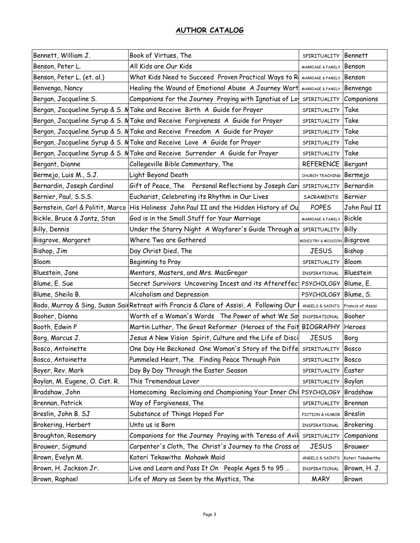| Bennett, William J.            | Book of Virtues, The                                                                    | SPIRITUALITY                           | Bennett           |
|--------------------------------|-----------------------------------------------------------------------------------------|----------------------------------------|-------------------|
| Benson, Peter L.               | All Kids are Our Kids                                                                   | MARRIAGE & FAMILY                      | Benson            |
| Benson, Peter L. (et. al.)     | What Kids Need to Succeed Proven Practical Ways to R MARRIAGE & FAMILY                  |                                        | Benson            |
| Benvenga, Nancy                | Healing the Wound of Emotional Abuse A Journey Wort                                     | MARRIAGE & FAMILY                      | Benvenga          |
| Bergan, Jacqueline S.          | Companions for the Journey Praying with Ignatius of Lo                                  | SPIRITUALITY                           | Companions        |
|                                | Bergan, Jacqueline Syrup & S. M Take and Receive Birth A Guide for Prayer               | SPIRITUALITY                           | Take              |
|                                | Bergan, Jacqueline Syrup & S. M Take and Receive Forgiveness A Guide for Prayer         | SPIRITUALITY                           | Take              |
|                                | Bergan, Jacqueline Syrup & S. M Take and Receive Freedom A Guide for Prayer             | SPIRITUALITY                           | Take              |
|                                | Bergan, Jacqueline Syrup & S. M Take and Receive Love A Guide for Prayer                | SPIRITUALITY                           | Take              |
|                                | Bergan, Jacqueline Syrup & S. M Take and Receive Surrender A Guide for Prayer           | SPIRITUALITY                           | Take              |
| Bergant, Dianne                | Collegeville Bible Commentary, The                                                      | <b>REFERENCE</b>                       | Bergant           |
| Bermejo, Luis M., S.J.         | Light Beyond Death                                                                      | CHURCH TEACHING Bermejo                |                   |
| Bernardin, Joseph Cardinal     | Gift of Peace, The Personal Reflections by Joseph Card                                  | SPIRITUALITY                           | Bernardin         |
| Bernier, Paul, S.S.S.          | Eucharist, Celebrating its Rhythm in Our Lives                                          | SACRAMENTS                             | Bernier           |
|                                | Bernstein, Carl & Politit, Marco His Holiness John Paul II and the Hidden History of Ou | <b>POPES</b>                           | John Paul II      |
| Bickle, Bruce & Jantz, Stan    | God is in the Small Stuff for Your Marriage                                             | MARRIAGE & FAMILY                      | <b>Bickle</b>     |
| Billy, Dennis                  | Under the Starry Night A Wayfarer's Guide Through a                                     | SPIRITUALITY                           | <b>Billy</b>      |
| Bisgrove, Margaret             | Where Two are Gathered                                                                  | <b>MINISTRY &amp; MISSION Bisgrove</b> |                   |
| Bishop, Jim                    | Day Christ Died, The                                                                    | <b>JESUS</b>                           | Bishop            |
| Bloom                          | Beginning to Pray                                                                       | SPIRITUALITY                           | Bloom             |
| Bluestein, Jane                | Mentors, Masters, and Mrs. MacGregor                                                    | INSPIRATIONAL                          | Bluestein         |
| Blume, E. Sue                  | Secret Survivors Uncovering Incest and its Aftereffec                                   | PSYCHOLOGY Blume, E.                   |                   |
| Blume, Sheila B.               | Alcoholism and Depression                                                               | PSYCHOLOGY Blume, S.                   |                   |
|                                | Bodo, Murray & Sing, Susan Sai Retreat with Francis & Clare of Assisi, A Following Our  | ANGELS & SAINTS                        | Francis of Assisi |
| Booher, Dianna                 | Worth of a Woman's Words The Power of what We Sal INSPIRATIONAL                         |                                        | Booher            |
| Booth, Edwin P                 | Martin Luther, The Great Reformer (Heroes of the Fait BIOGRAPHY                         |                                        | Heroes            |
| Borg, Marcus J.                | Jesus A New Vision Spirit, Culture and the Life of Disci                                | <b>JESUS</b>                           | Borg              |
| Bosco, Antoinette              | One Day He Beckoned One Woman's Story of the Diffe SPIRITUALITY                         |                                        | Bosco             |
| Bosco, Antoinette              | Pummeled Heart, The Finding Peace Through Pain                                          | SPIRITUALITY                           | Bosco             |
| Boyer, Rev. Mark               | Day By Day Through the Easter Season                                                    | SPIRITUALITY                           | Easter            |
| Boylan, M. Eugene, O. Cist. R. | This Tremendous Lover                                                                   | SPIRITUALITY                           | Boylan            |
| Bradshaw, John                 | Homecoming Reclaiming and Championing Your Inner Chil                                   | <b>PSYCHOLOGY</b>                      | Bradshaw          |
| Brennan, Patrick               | Way of Forgiveness, The                                                                 | SPIRITUALITY                           | Brennan           |
| Breslin, John B. SJ            | Substance of Things Hoped For                                                           | FICTION & HUMOR                        | <b>Breslin</b>    |
| Brokering, Herbert             | Unto us is Born                                                                         | INSPIRATIONAL                          | <b>Brokering</b>  |
| Broughton, Rosemary            | Companions for the Journey Praying with Teresa of Avil                                  | SPIRITUALITY                           | Companions        |
| Brouwer, Sigmund               | Carpenter's Cloth, The Christ's Journey to the Cross ar                                 | <b>JESUS</b>                           | Brouwer           |
| Brown, Evelyn M.               | Kateri Tekawitha Mohawk Maid                                                            | ANGELS & SAINTS                        | Kateri Tekakwitha |
| Brown, H. Jackson Jr.          | Live and Learn and Pass It On People Ages 5 to 95                                       | INSPIRATIONAL                          | Brown, H. J.      |
| Brown, Raphael                 | Life of Mary as Seen by the Mystics, The                                                | <b>MARY</b>                            | <b>Brown</b>      |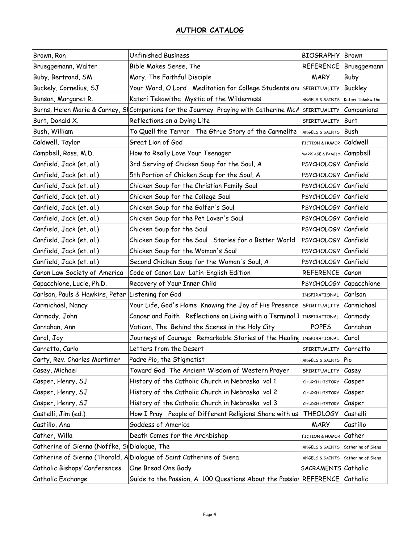| Brown, Ron                                        | <b>Unfinished Business</b>                                                           | <b>BIOGRAPHY</b> Brown             |                    |
|---------------------------------------------------|--------------------------------------------------------------------------------------|------------------------------------|--------------------|
| Brueggemann, Walter                               | Bible Makes Sense, The                                                               | <b>REFERENCE</b>                   | Brueggemann        |
| Buby, Bertrand, SM                                | Mary, The Faithful Disciple                                                          | <b>MARY</b>                        | Buby               |
| Buckely, Cornelius, SJ                            | Your Word, O Lord Meditation for College Students and                                | SPIRITUALITY                       | <b>Buckley</b>     |
| Bunson, Margaret R.                               | Kateri Tekawitha Mystic of the Wilderness                                            | ANGELS & SAINTS                    | Kateri Tekakwitha  |
|                                                   | Burns, Helen Marie & Carney, SHCompanions for the Journey Praying with Catherine McA | SPIRITUALITY Companions            |                    |
| Burt, Donald X.                                   | Reflections on a Dying Life                                                          | SPIRITUALITY                       | Burt               |
| Bush, William                                     | To Quell the Terror The Gtrue Story of the Carmelite                                 | ANGELS & SAINTS                    | Bush               |
| Caldwell, Taylor                                  | Great Lion of God                                                                    | FICTION & HUMOR Caldwell           |                    |
| Campbell, Ross, M.D.                              | How to Really Love Your Teenager                                                     | MARRIAGE & FAMILY Campbell         |                    |
| Canfield, Jack (et. al.)                          | 3rd Serving of Chicken Soup for the Soul, A                                          | PSYCHOLOGY Canfield                |                    |
| Canfield, Jack (et. al.)                          | 5th Portion of Chicken Soup for the Soul, A                                          | PSYCHOLOGY Canfield                |                    |
| Canfield, Jack (et. al.)                          | Chicken Soup for the Christian Family Soul                                           | PSYCHOLOGY Canfield                |                    |
| Canfield, Jack (et. al.)                          | Chicken Soup for the College Soul                                                    | PSYCHOLOGY Canfield                |                    |
| Canfield, Jack (et. al.)                          | Chicken Soup for the Golfer's Soul                                                   | PSYCHOLOGY Canfield                |                    |
| Canfield, Jack (et. al.)                          | Chicken Soup for the Pet Lover's Soul                                                | PSYCHOLOGY Canfield                |                    |
| Canfield, Jack (et. al.)                          | Chicken Soup for the Soul                                                            | PSYCHOLOGY Canfield                |                    |
| Canfield, Jack (et. al.)                          | Chicken Soup for the Soul Stories for a Better World                                 | PSYCHOLOGY Canfield                |                    |
| Canfield, Jack (et. al.)                          | Chicken Soup for the Woman's Soul                                                    | PSYCHOLOGY Canfield                |                    |
| Canfield, Jack (et. al.)                          | Second Chicken Soup for the Woman's Soul, A                                          | PSYCHOLOGY Canfield                |                    |
| Canon Law Society of America                      | Code of Canon Law Latin-English Edition                                              | REFERENCE Canon                    |                    |
| Capacchione, Lucie, Ph.D.                         | Recovery of Your Inner Child                                                         | PSYCHOLOGY Capacchione             |                    |
| Carlson, Pauls & Hawkins, Peter Listening for God |                                                                                      | INSPIRATIONAL                      | Carlson            |
| Carmichael, Nancy                                 | Your Life, God's Home Knowing the Joy of His Presence                                | SPIRITUALITY Carmichael            |                    |
| Carmody, John                                     | Cancer and Faith Reflections on Living with a Terminal:                              | INSPIRATIONAL                      | Carmody            |
| Carnahan, Ann                                     | Vatican, The Behind the Scenes in the Holy City                                      | <b>POPES</b>                       | Carnahan           |
| Carol, Joy                                        | Journeys of Courage Remarkable Stories of the Healing INSPIRATIONAL                  |                                    | Carol              |
| Carretto, Carlo                                   | Letters from the Desert                                                              | SPIRITUALITY Carretto              |                    |
| Carty, Rev. Charles Mortimer                      | Padre Pio, the Stigmatist                                                            | ANGELS & SAINTS                    | <b>Pio</b>         |
| Casey, Michael                                    | Toward God The Ancient Wisdom of Western Prayer                                      | SPIRITUALITY                       | Casey              |
| Casper, Henry, SJ                                 | History of the Catholic Church in Nebraska vol 1                                     | CHURCH HISTORY                     | Casper             |
| Casper, Henry, SJ                                 | History of the Catholic Church in Nebraska vol 2                                     | CHURCH HISTORY                     | Casper             |
| Casper, Henry, SJ                                 | History of the Catholic Church in Nebraska vol 3                                     | CHURCH HISTORY                     | Casper             |
| Castelli, Jim (ed.)                               | How I Pray People of Different Religions Share with us                               | <b>THEOLOGY</b>                    | Castelli           |
| Castillo, Ana                                     | Goddess of America                                                                   | <b>MARY</b>                        | Castillo           |
| Cather, Willa                                     | Death Comes for the Archbishop                                                       | FICTION & HUMOR                    | Cather             |
| Catherine of Sienna (Noffke, Si Dialogue, The     |                                                                                      | ANGELS & SAINTS                    | Catherine of Siena |
| Catherine of Sienna (Thorold, A                   | Dialogue of Saint Catherine of Siena                                                 | ANGELS & SAINTS Catherine of Siena |                    |
| Catholic Bishops' Conferences                     | One Bread One Body                                                                   | SACRAMENTS Catholic                |                    |
| Catholic Exchange                                 | Guide to the Passion, A 100 Questions About the Passion                              | REFERENCE Catholic                 |                    |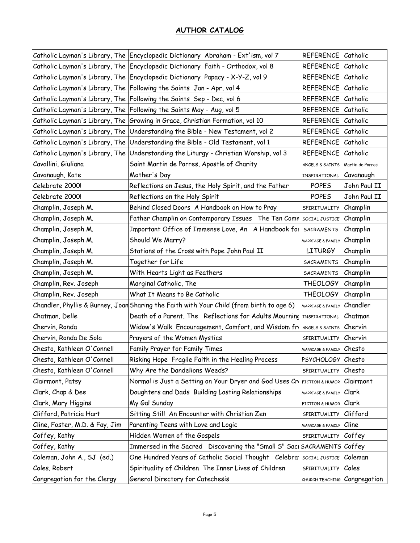|                                  | Catholic Layman's Library, The Encyclopedic Dictionary Abraham - Ext'ism, vol 7 | REFERENCE Catholic           |                  |
|----------------------------------|---------------------------------------------------------------------------------|------------------------------|------------------|
|                                  | Catholic Layman's Library, The Encyclopedic Dictionary Faith - Orthodox, vol 8  | <b>REFERENCE</b>             | Catholic         |
|                                  | Catholic Layman's Library, The Encyclopedic Dictionary Papacy - X-Y-Z, vol 9    | REFERENCE Catholic           |                  |
|                                  | Catholic Layman's Library, The Following the Saints Jan - Apr, vol 4            | REFERENCE Catholic           |                  |
| Catholic Layman's Library, The   | Following the Saints Sep - Dec, vol 6                                           | <b>REFERENCE</b>             | Catholic         |
|                                  | Catholic Layman's Library, The Following the Saints May - Aug, vol 5            | REFERENCE Catholic           |                  |
| Catholic Layman's Library, The   | Growing in Grace, Christian Formation, vol 10                                   | REFERENCE Catholic           |                  |
| Catholic Layman's Library, The   | Understanding the Bible - New Testament, vol 2                                  | <b>REFERENCE</b>             | Catholic         |
| Catholic Layman's Library, The   | Understanding the Bible - Old Testament, vol 1                                  | <b>REFERENCE</b>             | Catholic         |
| Catholic Layman's Library, The   | Understanding the Liturgy - Christian Worship, vol 3                            | <b>REFERENCE</b>             | Catholic         |
| Cavallini, Giuliana              | Saint Martin de Porres, Apostle of Charity                                      | ANGELS & SAINTS              | Martin de Porres |
| Cavanaugh, Kate                  | Mother's Day                                                                    | INSPIRATIONAL                | Cavanaugh        |
| Celebrate 2000!                  | Reflections on Jesus, the Holy Spirit, and the Father                           | <b>POPES</b>                 | John Paul II     |
| Celebrate 2000!                  | Reflections on the Holy Spirit                                                  | <b>POPES</b>                 | John Paul II     |
| Champlin, Joseph M.              | Behind Closed Doors A Handbook on How to Pray                                   | SPIRITUALITY                 | Champlin         |
| Champlin, Joseph M.              | Father Champlin on Contemporary Issues The Ten Comr                             | SOCIAL JUSTICE               | Champlin         |
| Champlin, Joseph M.              | Important Office of Immense Love, An A Handbook for                             | SACRAMENTS                   | Champlin         |
| Champlin, Joseph M.              | Should We Marry?                                                                | MARRIAGE & FAMILY            | Champlin         |
| Champlin, Joseph M.              | Stations of the Cross with Pope John Paul II                                    | <b>LITURGY</b>               | Champlin         |
| Champlin, Joseph M.              | Together for Life                                                               | <b>SACRAMENTS</b>            | Champlin         |
| Champlin, Joseph M.              | With Hearts Light as Feathers                                                   | SACRAMENTS                   | Champlin         |
| Champlin, Rev. Joseph            | Marginal Catholic, The                                                          | <b>THEOLOGY</b>              | Champlin         |
| Champlin, Rev. Joseph            | What It Means to Be Catholic                                                    | <b>THEOLOGY</b>              | Champlin         |
| Chandler, Phyllis & Burney, Joan | Sharing the Faith with Your Child (from birth to age 6)                         | MARRIAGE & FAMILY            | Chandler         |
| Chatman, Delle                   | Death of a Parent, The Reflections for Adults Mourning INSPIRATIONAL            |                              | Chatman          |
| Chervin, Ronda                   | Widow's Walk Encouragement, Comfort, and Wisdom fr                              | ANGELS & SAINTS              | Chervin          |
| Chervin, Ronda De Sola           | Prayers of the Women Mystics                                                    | SPIRITUALITY                 | Chervin          |
| Chesto, Kathleen O'Connell       | Family Prayer for Family Times                                                  | MARRIAGE & FAMILY Chesto     |                  |
| Chesto, Kathleen O'Connell       | Risking Hope Fragile Faith in the Healing Process                               | PSYCHOLOGY Chesto            |                  |
| Chesto, Kathleen O'Connell       | Why Are the Dandelions Weeds?                                                   | SPIRITUALITY                 | Chesto           |
| Clairmont, Patsy                 | Normal is Just a Setting on Your Dryer and God Uses Cr                          | FICTION & HUMOR              | Clairmont        |
| Clark, Chap & Dee                | Daughters and Dads Building Lasting Relationships                               | MARRIAGE & FAMILY            | Clark            |
| Clark, Mary Higgins              | My Gal Sunday                                                                   | FICTION & HUMOR              | <b>Clark</b>     |
| Clifford, Patricia Hart          | Sitting Still An Encounter with Christian Zen                                   | SPIRITUALITY                 | Clifford         |
| Cline, Foster, M.D. & Fay, Jim   | Parenting Teens with Love and Logic                                             | MARRIAGE & FAMILY            | Cline            |
| Coffey, Kathy                    | Hidden Women of the Gospels                                                     | SPIRITUALITY                 | Coffey           |
| Coffey, Kathy                    | Immersed in the Sacred Discovering the "Small S" Sac                            | SACRAMENTS Coffey            |                  |
| Coleman, John A., SJ (ed.)       | One Hundred Years of Catholic Social Thought Celebra                            | SOCIAL JUSTICE               | Coleman          |
| Coles, Robert                    | Spirituality of Children The Inner Lives of Children                            | SPIRITUALITY                 | Coles            |
| Congregation for the Clergy      | General Directory for Catechesis                                                | CHURCH TEACHING Congregation |                  |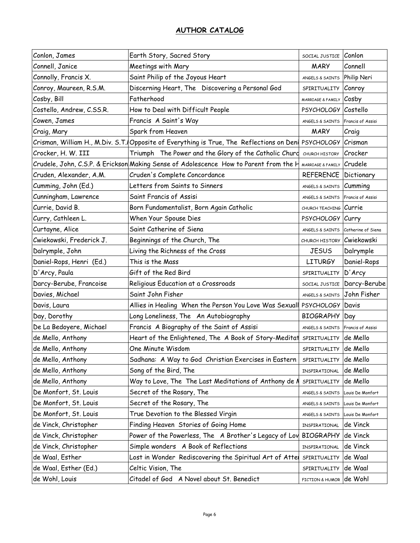| Conlon, James             | Earth Story, Sacred Story                                                                | SOCIAL JUSTICE Conlon             |                    |
|---------------------------|------------------------------------------------------------------------------------------|-----------------------------------|--------------------|
| Connell, Janice           | Meetings with Mary                                                                       | <b>MARY</b>                       | Connell            |
| Connolly, Francis X.      | Saint Philip of the Joyous Heart                                                         | ANGELS & SAINTS                   | Philip Neri        |
| Conroy, Maureen, R.S.M.   | Discerning Heart, The Discovering a Personal God                                         | SPIRITUALITY Conroy               |                    |
| Cosby, Bill               | Fatherhood                                                                               | MARRIAGE & FAMILY Cosby           |                    |
| Costello, Andrew, C.SS.R. | How to Deal with Difficult People                                                        | PSYCHOLOGY Costello               |                    |
| Cowen, James              | Francis A Saint's Way                                                                    | ANGELS & SAINTS Francis of Assisi |                    |
| Craig, Mary               | Spark from Heaven                                                                        | <b>MARY</b>                       | Craig              |
|                           | Crisman, William H., M.Div. S.T. Opposite of Everything is True, The Reflections on Deni | PSYCHOLOGY Crisman                |                    |
| Crocker, H. W. III        | Triumph The Power and the Glory of the Catholic Churd                                    | CHURCH HISTORY                    | Crocker            |
|                           | Crudele, John, C.S.P. & Erickson Making Sense of Adolescence How to Parent from the H    | MARRIAGE & FAMILY Crudele         |                    |
| Cruden, Alexander, A.M.   | Cruden's Complete Concordance                                                            | <b>REFERENCE Dictionary</b>       |                    |
| Cumming, John (Ed.)       | Letters from Saints to Sinners                                                           | ANGELS & SAINTS <b>Cumming</b>    |                    |
| Cunningham, Lawrence      | Saint Francis of Assisi                                                                  | ANGELS & SAINTS                   | Francis of Assisi  |
| Currie, David B.          | Born Fundamentalist, Born Again Catholic                                                 | CHURCH TEACHING Currie            |                    |
| Curry, Cathleen L.        | When Your Spouse Dies                                                                    | PSYCHOLOGY Curry                  |                    |
| Curtayne, Alice           | Saint Catherine of Siena                                                                 | ANGELS & SAINTS                   | Catherine of Siena |
| Cwiekowski, Frederick J.  | Beginnings of the Church, The                                                            | CHURCH HISTORY Cwiekowski         |                    |
| Dalrymple, John           | Living the Richness of the Cross                                                         | <b>JESUS</b>                      | Dalrymple          |
| Daniel-Rops, Henri (Ed.)  | This is the Mass                                                                         | <b>LITURGY</b>                    | Daniel-Rops        |
| D'Arcy, Paula             | Gift of the Red Bird                                                                     | SPIRITUALITY                      | D'Arcy             |
| Darcy-Berube, Francoise   | Religious Education at a Crossroads                                                      | SOCIAL JUSTICE                    | Darcy-Berube       |
| Davies, Michael           | Saint John Fisher                                                                        | ANGELS & SAINTS                   | John Fisher        |
| Davis, Laura              | Allies in Healing When the Person You Love Was Sexuall                                   | PSYCHOLOGY Davis                  |                    |
| Day, Dorothy              | Long Loneliness, The An Autobiography                                                    | <b>BIOGRAPHY</b>                  | Day                |
| De La Bedoyere, Michael   | Francis A Biography of the Saint of Assisi                                               | ANGELS & SAINTS Francis of Assisi |                    |
| de Mello, Anthony         | Heart of the Enlightened, The A Book of Story-Meditat                                    | SPIRITUALITY                      | de Mello           |
| de Mello, Anthony         | One Minute Wisdom                                                                        | SPIRITUALITY                      | de Mello           |
| de Mello, Anthony         | Sadhana: A Way to God Christian Exercises in Eastern                                     | SPIRITUALITY                      | de Mello           |
| de Mello, Anthony         | Song of the Bird, The                                                                    | INSPIRATIONAL                     | de Mello           |
| de Mello, Anthony         | Way to Love, The The Last Meditations of Anthony de N                                    | SPIRITUALITY                      | de Mello           |
| De Monfort, St. Louis     | Secret of the Rosary, The                                                                | ANGELS & SAINTS                   | Louis De Monfort   |
| De Monfort, St. Louis     | Secret of the Rosary, The                                                                | ANGELS & SAINTS                   | Louis De Monfort   |
| De Monfort, St. Louis     | True Devotion to the Blessed Virgin                                                      | ANGELS & SAINTS                   | Louis De Monfort   |
| de Vinck, Christopher     | Finding Heaven Stories of Going Home                                                     | INSPIRATIONAL                     | de Vinck           |
| de Vinck, Christopher     | Power of the Powerless, The A Brother's Legacy of Lov                                    | <b>BIOGRAPHY</b>                  | de Vinck           |
| de Vinck, Christopher     | Simple wonders A Book of Reflections                                                     | INSPIRATIONAL                     | de Vinck           |
| de Waal, Esther           | Lost in Wonder Rediscovering the Spiritual Art of Atte                                   | SPIRITUALITY                      | de Waal            |
| de Waal, Esther (Ed.)     | Celtic Vision, The                                                                       | SPIRITUALITY                      | de Waal            |
| de Wohl, Louis            | Citadel of God A Novel about St. Benedict                                                | FICTION & HUMOR                   | de Wohl            |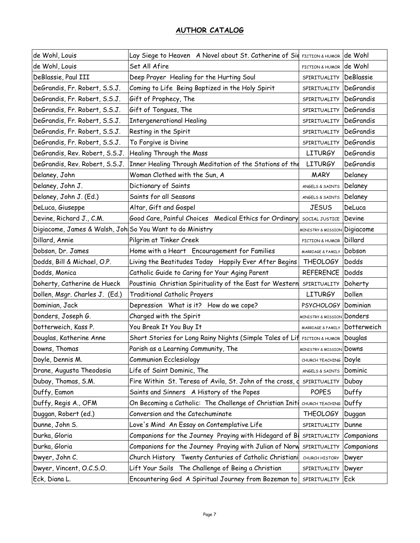| de Wohl, Louis                                           | Lay Siege to Heaven A Novel about St. Catherine of Sid FICTION & HUMOR |                                         | de Wohl          |
|----------------------------------------------------------|------------------------------------------------------------------------|-----------------------------------------|------------------|
| de Wohl, Louis                                           | Set All Afire                                                          | FICTION & HUMOR                         | de Wohl          |
| DeBlassie, Paul III                                      | Deep Prayer Healing for the Hurting Soul                               | SPIRITUALITY                            | DeBlassie        |
| DeGrandis, Fr. Robert, S.S.J.                            | Coming to Life Being Baptized in the Holy Spirit                       | SPIRITUALITY                            | DeGrandis        |
| DeGrandis, Fr. Robert, S.S.J.                            | Gift of Prophecy, The                                                  | SPIRITUALITY                            | <b>DeGrandis</b> |
| DeGrandis, Fr. Robert, S.S.J.                            | Gift of Tongues, The                                                   | SPIRITUALITY                            | DeGrandis        |
| DeGrandis, Fr. Robert, S.S.J.                            | <b>Intergenerational Healing</b>                                       | SPIRITUALITY DeGrandis                  |                  |
| DeGrandis, Fr. Robert, S.S.J.                            | Resting in the Spirit                                                  | SPIRITUALITY                            | <b>DeGrandis</b> |
| DeGrandis, Fr. Robert, S.S.J.                            | To Forgive is Divine                                                   | SPIRITUALITY                            | <b>DeGrandis</b> |
| DeGrandis, Rev. Robert, S.S.J.                           | Healing Through the Mass                                               | <b>LITURGY</b>                          | DeGrandis        |
| DeGrandis, Rev. Robert, S.S.J.                           | Inner Healing Through Meditation of the Stations of the                | <b>LITURGY</b>                          | <b>DeGrandis</b> |
| Delaney, John                                            | Woman Clothed with the Sun, A                                          | <b>MARY</b>                             | Delaney          |
| Delaney, John J.                                         | Dictionary of Saints                                                   | ANGELS & SAINTS                         | Delaney          |
| Delaney, John J. (Ed.)                                   | Saints for all Seasons                                                 | ANGELS & SAINTS                         | Delaney          |
| DeLuca, Giuseppe                                         | Altar, Gift and Gospel                                                 | <b>JESUS</b>                            | DeLuca           |
| Devine, Richard J., C.M.                                 | Good Care, Painful Choices Medical Ethics for Ordinary                 | SOCIAL JUSTICE                          | Devine           |
| Digiacome, James & Walsh, Joh So You Want to do Ministry |                                                                        | <b>MINISTRY &amp; MISSION Digiacome</b> |                  |
| Dillard, Annie                                           | Pilgrim at Tinker Creek                                                | FICTION & HUMOR                         | Dillard          |
| Dobson, Dr. James                                        | Home with a Heart Encouragement for Families                           | MARRIAGE & FAMILY                       | Dobson           |
| Dodds, Bill & Michael, O.P.                              | Living the Beatitudes Today Happily Ever After Begins                  | <b>THEOLOGY</b>                         | Dodds            |
| Dodds, Monica                                            | Catholic Guide to Caring for Your Aging Parent                         | <b>REFERENCE</b>                        | Dodds            |
| Doherty, Catherine de Hueck                              | Poustinia Christian Spirituality of the East for Western               | SPIRITUALITY                            | Doherty          |
| Dollen, Msgr. Charles J. (Ed.)                           | <b>Traditional Catholic Prayers</b>                                    | <b>LITURGY</b>                          | Dollen           |
| Dominian, Jack                                           | Depression What is it? How do we cope?                                 | PSYCHOLOGY Dominian                     |                  |
| Donders, Joseph G.                                       | Charged with the Spirit                                                | <b>MINISTRY &amp; MISSION Donders</b>   |                  |
| Dotterweich, Kass P.                                     | You Break It You Buy It                                                | MARRIAGE & FAMILY Dotterweich           |                  |
| Douglas, Katherine Anne                                  | Short Stories for Long Rainy Nights (Simple Tales of Lif               | FICTION & HUMOR                         | Douglas          |
| Downs, Thomas                                            | Parish as a Learning Community, The                                    | <b>MINISTRY &amp; MISSION DOWNS</b>     |                  |
| Doyle, Dennis M.                                         | <b>Communion Ecclesiology</b>                                          | CHURCH TEACHING Doyle                   |                  |
| Drane, Augusta Theodosia                                 | Life of Saint Dominic, The                                             | ANGELS & SAINTS                         | Dominic          |
| Dubay, Thomas, S.M.                                      | Fire Within St. Teresa of Avila, St. John of the cross, o              | SPIRITUALITY                            | Dubay            |
| Duffy, Eamon                                             | Saints and Sinners A History of the Popes                              | <b>POPES</b>                            | Duffy            |
| Duffy, Regis A., OFM                                     | On Becoming a Catholic: The Challenge of Christian Initi               | CHURCH TEACHING                         | Duffy            |
| Duggan, Robert (ed.)                                     | Conversion and the Catechuminate                                       | <b>THEOLOGY</b>                         | Duggan           |
| Dunne, John S.                                           | Love's Mind An Essay on Contemplative Life                             | SPIRITUALITY                            | Dunne            |
| Durka, Gloria                                            | Companions for the Journey Praying with Hidegard of Bi                 | SPIRITUALITY                            | Companions       |
| Durka, Gloria                                            | Companions for the Journey Praying with Julian of Norw                 | SPIRITUALITY                            | Companions       |
| Dwyer, John C.                                           | Church History Twenty Centuries of Catholic Christiani                 | CHURCH HISTORY                          | Dwyer            |
| Dwyer, Vincent, O.C.S.O.                                 | Lift Your Sails The Challenge of Being a Christian                     | SPIRITUALITY                            | Dwyer            |
| Eck, Diana L.                                            | Encountering God A Spiritual Journey from Bozeman to                   | SPIRITUALITY                            | Eck              |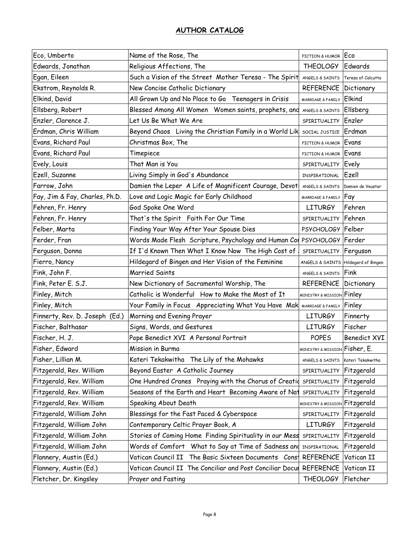| Eco, Umberto                   | Name of the Rose, The                                                 | FICTION & HUMOR ECO                      |                     |
|--------------------------------|-----------------------------------------------------------------------|------------------------------------------|---------------------|
| Edwards, Jonathan              | Religious Affections, The                                             | <b>THEOLOGY</b>                          | Edwards             |
| Egan, Eileen                   | Such a Vision of the Street Mother Teresa - The Spirit                | ANGELS & SAINTS                          | Teresa of Calcutta  |
| Ekstrom, Reynolds R.           | New Concise Catholic Dictionary                                       | <b>REFERENCE   Dictionary</b>            |                     |
| Elkind, David                  | All Grown Up and No Place to Go Teenagers in Crisis                   | <b>MARRIAGE &amp; FAMILY</b>             | Elkind              |
| Ellsberg, Robert               | Blessed Among All Women Women saints, prophets, and                   | ANGELS & SAINTS                          | Ellsberg            |
| Enzler, Clarence J.            | Let Us Be What We Are                                                 | SPIRITUALITY Enzler                      |                     |
| Erdman, Chris William          | Beyond Chaos Living the Christian Family in a World Lik               | SOCIAL JUSTICE                           | Erdman              |
| Evans, Richard Paul            | Christmas Box, The                                                    | FICTION & HUMOR                          | Evans               |
| Evans, Richard Paul            | Timepiece                                                             | FICTION & HUMOR Evans                    |                     |
| Evely, Louis                   | That Man is You                                                       | SPIRITUALITY                             | Evely               |
| Ezell, Suzanne                 | Living Simply in God's Abundance                                      | INSPIRATIONAL                            | Ezell               |
| Farrow, John                   | Damien the Leper A Life of Magnificent Courage, Devot                 | ANGELS & SAINTS Damien de Veuster        |                     |
| Fay, Jim & Fay, Charles, Ph.D. | Love and Logic Magic for Early Childhood                              | MARRIAGE & FAMILY <b>Fay</b>             |                     |
| Fehren, Fr. Henry              | God Spoke One Word                                                    | <b>LITURGY</b>                           | Fehren              |
| Fehren, Fr. Henry              | That's the Spirit Faith For Our Time                                  | SPIRITUALITY                             | Fehren              |
| Felber, Marta                  | Finding Your Way After Your Spouse Dies                               | PSYCHOLOGY Felber                        |                     |
| Ferder, Fran                   | Words Made Flesh Scripture, Psychology and Human Cor                  | PSYCHOLOGY Ferder                        |                     |
| Ferguson, Donna                | If I'd Known Then What I Know Now The High Cost of                    | SPIRITUALITY Ferguson                    |                     |
| Fierro, Nancy                  | Hildegard of Bingen and Her Vision of the Feminine                    | ANGELS & SAINTS Hildegard of Bingen      |                     |
| Fink, John F.                  | <b>Married Saints</b>                                                 | <b>ANGELS &amp; SAINTS Fink</b>          |                     |
| Fink, Peter E. S.J.            | New Dictionary of Sacramental Worship, The                            | REFERENCE                                | Dictionary          |
| Finley, Mitch                  | Catholic is Wonderful How to Make the Most of It                      | <b>MINISTRY &amp; MISSION Finley</b>     |                     |
| Finley, Mitch                  | Your Family in Focus Appreciating What You Have Mak MARRIAGE & FAMILY |                                          | Finley              |
| Finnerty, Rev. D. Joseph (Ed.) | Morning and Evening Prayer                                            | <b>LITURGY</b>                           | Finnerty            |
| Fischer, Balthasar             | Signs, Words, and Gestures                                            | <b>LITURGY</b>                           | Fischer             |
| Fischer, H. J.                 | Pope Benedict XVI A Personal Portrait                                 | <b>POPES</b>                             | <b>Benedict XVI</b> |
| Fisher, Edward                 | Mission in Burma                                                      | MINISTRY & MISSION Fisher, E.            |                     |
| Fisher, Lillian M.             | Kateri Tekakwitha The Lily of the Mohawks                             | ANGELS & SAINTS                          | Kateri Tekakwitha   |
| Fitzgerald, Rev. William       | Beyond Easter A Catholic Journey                                      | SPIRITUALITY                             | Fitzgerald          |
| Fitzgerald, Rev. William       | One Hundred Cranes Praying with the Chorus of Creation                | SPIRITUALITY                             | Fitzgerald          |
| Fitzgerald, Rev. William       | Seasons of the Earth and Heart Becoming Aware of Nat                  | SPIRITUALITY                             | Fitzgerald          |
| Fitzgerald, Rev. William       | Speaking About Death                                                  | <b>MINISTRY &amp; MISSION Fitzgerald</b> |                     |
| Fitzgerald, William John       | Blessings for the Fast Paced & Cyberspace                             | SPIRITUALITY Fitzgerald                  |                     |
| Fitzgerald, William John       | Contemporary Celtic Prayer Book, A                                    | <b>LITURGY</b>                           | Fitzgerald          |
| Fitzgerald, William John       | Stories of Coming Home Finding Spirituality in our Mess               | SPIRITUALITY                             | Fitzgerald          |
| Fitzgerald, William John       | Words of Comfort What to Say at Time of Sadness and                   | INSPIRATIONAL                            | Fitzgerald          |
| Flannery, Austin (Ed.)         | Vatican Council II The Basic Sixteen Documents Const                  | REFERENCE                                | Vatican II          |
| Flannery, Austin (Ed.)         | Vatican Council II The Conciliar and Post Conciliar Docu              | <b>REFERENCE</b>                         | Vatican II          |
| Fletcher, Dr. Kingsley         | Prayer and Fasting                                                    | <b>THEOLOGY</b>                          | Fletcher            |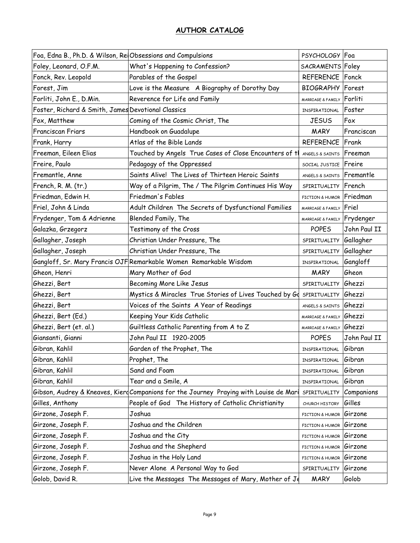| Foa, Edna B., Ph.D. & Wilson, RelObsessions and Compulsions |                                                                                        | PSYCHOLOGY   Foa            |              |
|-------------------------------------------------------------|----------------------------------------------------------------------------------------|-----------------------------|--------------|
| Foley, Leonard, O.F.M.                                      | What's Happening to Confession?                                                        | SACRAMENTS Foley            |              |
| Fonck, Rev. Leopold                                         | Parables of the Gospel                                                                 | REFERENCE Fonck             |              |
| Forest, Jim                                                 | Love is the Measure A Biography of Dorothy Day                                         | <b>BIOGRAPHY</b> Forest     |              |
| Forliti, John E., D.Min.                                    | Reverence for Life and Family                                                          | MARRIAGE & FAMILY           | Forliti      |
| Foster, Richard & Smith, James Devotional Classics          |                                                                                        | INSPIRATIONAL               | Foster       |
| Fox, Matthew                                                | Coming of the Cosmic Christ, The                                                       | <b>JESUS</b>                | Fox          |
| <b>Franciscan Friars</b>                                    | Handbook on Guadalupe                                                                  | <b>MARY</b>                 | Franciscan   |
| Frank, Harry                                                | Atlas of the Bible Lands                                                               | <b>REFERENCE Frank</b>      |              |
| Freeman, Eileen Elias                                       | Touched by Angels True Cases of Close Encounters of tl                                 | ANGELS & SAINTS             | Freeman      |
| Freire, Paulo                                               | Pedagogy of the Oppressed                                                              | SOCIAL JUSTICE Freire       |              |
| Fremantle, Anne                                             | Saints Alive! The Lives of Thirteen Heroic Saints                                      | ANGELS & SAINTS Fremantle   |              |
| French, R. M. (tr.)                                         | Way of a Pilgrim, The / The Pilgrim Continues His Way                                  | SPIRITUALITY                | French       |
| Friedman, Edwin H.                                          | Friedman's Fables                                                                      | FICTION & HUMOR             | Friedman     |
| Friel, John & Linda                                         | Adult Children The Secrets of Dysfunctional Families                                   | MARRIAGE & FAMILY           | Friel        |
| Frydenger, Tom & Adrienne                                   | Blended Family, The                                                                    | MARRIAGE & FAMILY Frydenger |              |
| Galazka, Grzegorz                                           | Testimony of the Cross                                                                 | <b>POPES</b>                | John Paul II |
| Gallagher, Joseph                                           | Christian Under Pressure, The                                                          | SPIRITUALITY                | Gallagher    |
| Gallagher, Joseph                                           | Christian Under Pressure, The                                                          | SPIRITUALITY                | Gallagher    |
|                                                             | Gangloff, Sr. Mary Francis OJF Remarkable Women Remarkable Wisdom                      | INSPIRATIONAL               | Gangloff     |
|                                                             |                                                                                        |                             |              |
| Gheon, Henri                                                | Mary Mother of God                                                                     | <b>MARY</b>                 | Gheon        |
| Ghezzi, Bert                                                | Becoming More Like Jesus                                                               | SPIRITUALITY                | Ghezzi       |
| Ghezzi, Bert                                                | Mystics & Miracles True Stories of Lives Touched by Go                                 | SPIRITUALITY                | Ghezzi       |
| Ghezzi, Bert                                                | Voices of the Saints A Year of Readings                                                | ANGELS & SAINTS             | Ghezzi       |
| Ghezzi, Bert (Ed.)                                          | Keeping Your Kids Catholic                                                             | MARRIAGE & FAMILY Ghezzi    |              |
| Ghezzi, Bert (et. al.)                                      | Guiltless Catholic Parenting from A to Z                                               | MARRIAGE & FAMILY Ghezzi    |              |
| Giansanti, Gianni                                           | John Paul II 1920-2005                                                                 | <b>POPES</b>                | John Paul II |
| Gibran, Kahlil                                              | Garden of the Prophet, The                                                             | INSPIRATIONAL               | Gibran       |
| Gibran, Kahlil                                              | Prophet, The                                                                           | INSPIRATIONAL               | Gibran       |
| Gibran, Kahlil                                              | Sand and Foam                                                                          | INSPIRATIONAL               | Gibran       |
| Gibran, Kahlil                                              | Tear and a Smile, A                                                                    | INSPIRATIONAL               | Gibran       |
|                                                             | Gibson, Audrey & Kneaves, Kierd Companions for the Journey Praying with Louise de Mari | SPIRITUALITY                | Companions   |
| Gilles, Anthony                                             | People of God The History of Catholic Christianity                                     | CHURCH HISTORY              | Gilles       |
| Girzone, Joseph F.                                          | Joshua                                                                                 | FICTION & HUMOR             | Girzone      |
| Girzone, Joseph F.                                          | Joshua and the Children                                                                | FICTION & HUMOR             | Girzone      |
| Girzone, Joseph F.                                          | Joshua and the City                                                                    | FICTION & HUMOR             | Girzone      |
| Girzone, Joseph F.                                          | Joshua and the Shepherd                                                                | FICTION & HUMOR             | Girzone      |
| Girzone, Joseph F.                                          | Joshua in the Holy Land                                                                | FICTION & HUMOR             | Girzone      |
| Girzone, Joseph F.                                          | Never Alone A Personal Way to God                                                      | SPIRITUALITY                | Girzone      |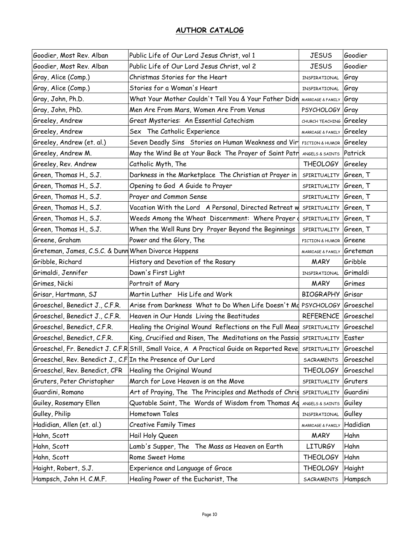| Goodier, Most Rev. Alban                                     | Public Life of Our Lord Jesus Christ, vol 1                                               | <b>JESUS</b>            | Goodier   |
|--------------------------------------------------------------|-------------------------------------------------------------------------------------------|-------------------------|-----------|
| Goodier, Most Rev. Alban                                     | Public Life of Our Lord Jesus Christ, vol 2                                               | <b>JESUS</b>            | Goodier   |
| Gray, Alice (Comp.)                                          | Christmas Stories for the Heart                                                           | INSPIRATIONAL           | Gray      |
| Gray, Alice (Comp.)                                          | Stories for a Woman's Heart                                                               | INSPIRATIONAL           | Gray      |
| Gray, John, Ph.D.                                            | What Your Mother Couldn't Tell You & Your Father Didn                                     | MARRIAGE & FAMILY       | Gray      |
| Gray, John, PhD.                                             | Men Are From Mars, Women Are From Venus                                                   | PSYCHOLOGY Gray         |           |
| Greeley, Andrew                                              | Great Mysteries: An Essential Catechism                                                   | CHURCH TEACHING Greeley |           |
| Greeley, Andrew                                              | Sex The Catholic Experience                                                               | MARRIAGE & FAMILY       | Greeley   |
| Greeley, Andrew (et. al.)                                    | Seven Deadly Sins Stories on Human Weakness and Vir                                       | FICTION & HUMOR         | Greeley   |
| Greeley, Andrew M.                                           | May the Wind Be at Your Back The Prayer of Saint Patr                                     | ANGELS & SAINTS         | Patrick   |
| Greeley, Rev. Andrew                                         | Catholic Myth, The                                                                        | <b>THEOLOGY</b>         | Greeley   |
| Green, Thomas H., S.J.                                       | Darkness in the Marketplace The Christian at Prayer in                                    | SPIRITUALITY            | Green, T  |
| Green, Thomas H., S.J.                                       | Opening to God A Guide to Prayer                                                          | SPIRITUALITY            | Green, T  |
| Green, Thomas H., S.J.                                       | Prayer and Common Sense                                                                   | SPIRITUALITY            | Green, T  |
| Green, Thomas H., S.J.                                       | Vacation With the Lord A Personal, Directed Retreat w SPIRITUALITY                        |                         | Green, T  |
| Green, Thomas H., S.J.                                       | Weeds Among the Wheat Discernment: Where Prayer                                           | SPIRITUALITY            | Green, T  |
| Green, Thomas H., S.J.                                       | When the Well Runs Dry Prayer Beyond the Beginnings                                       | SPIRITUALITY            | Green, T  |
| Greene, Graham                                               | Power and the Glory, The                                                                  | FICTION & HUMOR         | Greene    |
| Greteman, James, C.S.C. & Dunn When Divorce Happens          |                                                                                           | MARRIAGE & FAMILY       | Greteman  |
| Gribble, Richard                                             | History and Devotion of the Rosary                                                        | <b>MARY</b>             | Gribble   |
| Grimaldi, Jennifer                                           | Dawn's First Light                                                                        | INSPIRATIONAL           | Grimaldi  |
| Grimes, Nicki                                                | Portrait of Mary                                                                          | <b>MARY</b>             | Grimes    |
| Grisar, Hartmann, SJ                                         | Martin Luther His Life and Work                                                           | BIOGRAPHY Grisar        |           |
| Groeschel, Benedict J., C.F.R.                               | Arise from Darkness What to Do When Life Doesn't Md PSYCHOLOGY Groeschel                  |                         |           |
| Groeschel, Benedict J., C.F.R.                               | Heaven in Our Hands Living the Beatitudes                                                 | REFERENCE Groeschel     |           |
| Groeschel, Benedict, C.F.R.                                  | Healing the Original Wound Reflections on the Full Meal SPIRITUALITY                      |                         | Groeschel |
| Groeschel, Benedict, C.F.R.                                  | King, Crucified and Risen, The Meditations on the Passio SPIRITUALITY                     |                         | Easter    |
|                                                              | Groeschel, Fr. Benedict J. C.F.R Still, Small Voice, A A Practical Guide on Reported Reve | SPIRITUALITY            | Groeschel |
| Groeschel, Rev. Benedict J., C.F In the Presence of Our Lord |                                                                                           | SACRAMENTS              | Groeschel |
| Groeschel, Rev. Benedict, CFR                                | Healing the Original Wound                                                                | <b>THEOLOGY</b>         | Groeschel |
| Gruters, Peter Christopher                                   | March for Love Heaven is on the Move                                                      | SPIRITUALITY            | Gruters   |
| Guardini, Romano                                             | Art of Praying, The The Principles and Methods of Chris                                   | SPIRITUALITY            | Guardini  |
| Guiley, Rosemary Ellen                                       | Quotable Saint, The Words of Wisdom from Thomas Ad                                        | ANGELS & SAINTS         | Guiley    |
| Gulley, Philip                                               | Hometown Tales                                                                            | INSPIRATIONAL           | Gulley    |
| Hadidian, Allen (et. al.)                                    | <b>Creative Family Times</b>                                                              | MARRIAGE & FAMILY       | Hadidian  |
| Hahn, Scott                                                  | Hail Holy Queen                                                                           | <b>MARY</b>             | Hahn      |
| Hahn, Scott                                                  | Lamb's Supper, The The Mass as Heaven on Earth                                            | <b>LITURGY</b>          | Hahn      |
| Hahn, Scott                                                  | Rome Sweet Home                                                                           | <b>THEOLOGY</b>         | Hahn      |
| Haight, Robert, S.J.                                         | Experience and Language of Grace                                                          | <b>THEOLOGY</b>         | Haight    |
|                                                              |                                                                                           |                         |           |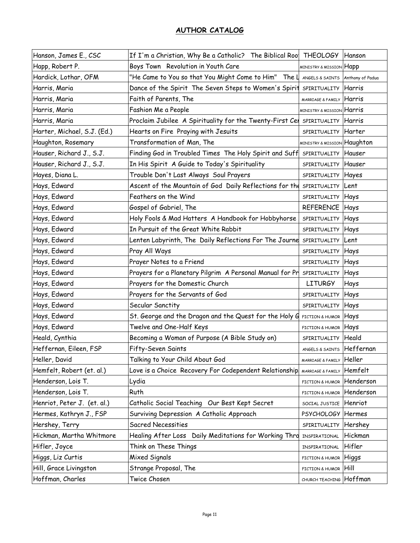| Hanson, James E., CSC       | If I'm a Christian, Why Be a Catholic? The Biblical Roo THEOLOGY |                                      | Hanson           |
|-----------------------------|------------------------------------------------------------------|--------------------------------------|------------------|
| Happ, Robert P.             | Boys Town Revolution in Youth Care                               | MINISTRY & MISSION                   | Happ             |
| Hardick, Lothar, OFM        | "He Came to You so that You Might Come to Him" The $\mathfrak l$ | ANGELS & SAINTS                      | Anthony of Padua |
| Harris, Maria               | Dance of the Spirit The Seven Steps to Women's Spirit            | SPIRITUALITY Harris                  |                  |
| Harris, Maria               | Faith of Parents, The                                            | MARRIAGE & FAMILY                    | Harris           |
| Harris, Maria               | Fashion Me a People                                              | <b>MINISTRY &amp; MISSION Harris</b> |                  |
| Harris, Maria               | Proclaim Jubilee A Spirituality for the Twenty-First Cel         | SPIRITUALITY Harris                  |                  |
| Harter, Michael, S.J. (Ed.) | Hearts on Fire Praying with Jesuits                              | SPIRITUALITY                         | Harter           |
| Haughton, Rosemary          | Transformation of Man, The                                       | MINISTRY & MISSION Haughton          |                  |
| Hauser, Richard J., S.J.    | Finding God in Troubled Times The Holy Spirit and Suff           | SPIRITUALITY                         | Hauser           |
| Hauser, Richard J., S.J.    | In His Spirit A Guide to Today's Spirituality                    | SPIRITUALITY                         | Hauser           |
| Hayes, Diana L.             | Trouble Don't Last Always Soul Prayers                           | SPIRITUALITY                         | Hayes            |
| Hays, Edward                | Ascent of the Mountain of God Daily Reflections for the          | SPIRITUALITY                         | Lent             |
| Hays, Edward                | Feathers on the Wind                                             | SPIRITUALITY                         | Hays             |
| Hays, Edward                | Gospel of Gabriel, The                                           | REFERENCE                            | Hays             |
| Hays, Edward                | Holy Fools & Mad Hatters A Handbook for Hobbyhorse               | SPIRITUALITY                         | Hays             |
| Hays, Edward                | In Pursuit of the Great White Rabbit                             | SPIRITUALITY                         | Hays             |
| Hays, Edward                | Lenten Labyrinth, The Daily Reflections For The Journe           | SPIRITUALITY                         | Lent             |
| Hays, Edward                | Pray All Ways                                                    | SPIRITUALITY                         | Hays             |
| Hays, Edward                | Prayer Notes to a Friend                                         | SPIRITUALITY                         | Hays             |
| Hays, Edward                | Prayers for a Planetary Pilgrim A Personal Manual for Pr         | SPIRITUALITY                         | Hays             |
| Hays, Edward                | Prayers for the Domestic Church                                  | <b>LITURGY</b>                       | Hays             |
| Hays, Edward                | Prayers for the Servants of God                                  | SPIRITUALITY                         | Hays             |
| Hays, Edward                | Secular Sanctity                                                 | SPIRITUALITY                         | Hays             |
| Hays, Edward                | St. George and the Dragon and the Quest for the Holy G           | FICTION & HUMOR                      | Hays             |
| Hays, Edward                | Twelve and One-Half Keys                                         | FICTION & HUMOR                      | Hays             |
| Heald, Cynthia              | Becoming a Woman of Purpose (A Bible Study on)                   | SPIRITUALITY                         | Heald            |
| Heffernan, Eileen, FSP      | Fifty-Seven Saints                                               | ANGELS & SAINTS                      | Heffernan        |
| Heller, David               | Talking to Your Child About God                                  | MARRIAGE & FAMILY Heller             |                  |
| Hemfelt, Robert (et. al.)   | Love is a Choice Recovery For Codependent Relationship           | MARRIAGE & FAMILY                    | Hemfelt          |
| Henderson, Lois T.          | Lydia                                                            | <b>FICTION &amp; HUMOR</b>           | Henderson        |
| Henderson, Lois T.          | Ruth                                                             | FICTION & HUMOR                      | Henderson        |
| Henriot, Peter J. (et. al.) | Catholic Social Teaching Our Best Kept Secret                    | SOCIAL JUSTICE                       | Henriot          |
| Hermes, Kathryn J., FSP     | Surviving Depression A Catholic Approach                         | PSYCHOLOGY Hermes                    |                  |
| Hershey, Terry              | Sacred Necessities                                               | SPIRITUALITY                         | Hershey          |
| Hickman, Martha Whitmore    | Healing After Loss Daily Meditations for Working Thro            | INSPIRATIONAL                        | Hickman          |
| Hifler, Joyce               | Think on These Things                                            | INSPIRATIONAL                        | Hifler           |
| Higgs, Liz Curtis           | Mixed Signals                                                    | FICTION & HUMOR                      | Higgs            |
| Hill, Grace Livingston      | Strange Proposal, The                                            | FICTION & HUMOR                      | <b>Hill</b>      |
| Hoffman, Charles            | Twice Chosen                                                     | CHURCH TEACHING Hoffman              |                  |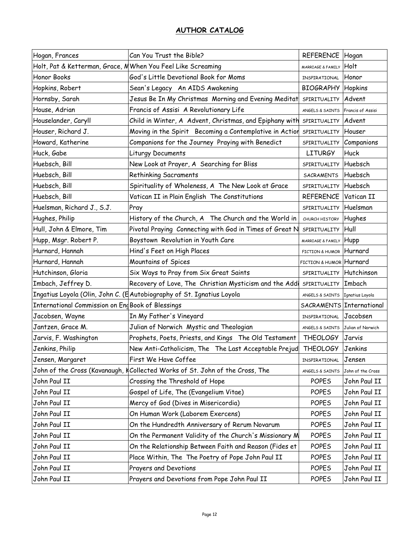| Hogan, Frances                                              | Can You Trust the Bible?                                               | REFERENCE Hogan                   |                   |
|-------------------------------------------------------------|------------------------------------------------------------------------|-----------------------------------|-------------------|
| Holt, Pat & Ketterman, Grace, MWhen You Feel Like Screaming |                                                                        | MARRIAGE & FAMILY                 | Holt              |
| Honor Books                                                 | God's Little Devotional Book for Moms                                  | INSPIRATIONAL                     | Honor             |
| Hopkins, Robert                                             | Sean's Legacy An AIDS Awakening                                        | <b>BIOGRAPHY Hopkins</b>          |                   |
| Hornsby, Sarah                                              | Jesus Be In My Christmas Morning and Evening Meditat                   | SPIRITUALITY                      | Advent            |
| House, Adrian                                               | Francis of Assisi A Revolutionary Life                                 | ANGELS & SAINTS                   | Francis of Assisi |
| Houselander, Caryll                                         | Child in Winter, A Advent, Christmas, and Epiphany with                | SPIRITUALITY Advent               |                   |
| Houser, Richard J.                                          | Moving in the Spirit Becoming a Contemplative in Action                | SPIRITUALITY                      | Houser            |
| Howard, Katherine                                           | Companions for the Journey Praying with Benedict                       | SPIRITUALITY Companions           |                   |
| Huck, Gabe                                                  | Liturgy Documents                                                      | <b>LITURGY</b>                    | Huck              |
| Huebsch, Bill                                               | New Look at Prayer, A Searching for Bliss                              | SPIRITUALITY                      | Huebsch           |
| Huebsch, Bill                                               | <b>Rethinking Sacraments</b>                                           | <b>SACRAMENTS</b>                 | Huebsch           |
| Huebsch, Bill                                               | Spirituality of Wholeness, A The New Look at Grace                     | SPIRITUALITY Huebsch              |                   |
| Huebsch, Bill                                               | Vatican II in Plain English The Constitutions                          | REFERENCE                         | Vatican II        |
| Huelsman, Richard J., S.J.                                  | Pray                                                                   | SPIRITUALITY                      | Huelsman          |
| Hughes, Philip                                              | History of the Church, A The Church and the World in                   | CHURCH HISTORY                    | Hughes            |
| Hull, John & Elmore, Tim                                    | Pivotal Praying Connecting with God in Times of Great N                | SPIRITUALITY                      | Hull              |
| Hupp, Msgr. Robert P.                                       | Boystown Revolution in Youth Care                                      | MARRIAGE & FAMILY                 | Hupp              |
| Hurnard, Hannah                                             | Hind's Feet on High Places                                             | FICTION & HUMOR Hurnard           |                   |
| Hurnard, Hannah                                             | Mountains of Spices                                                    | FICTION & HUMOR Hurnard           |                   |
| Hutchinson, Gloria                                          | Six Ways to Pray from Six Great Saints                                 | SPIRITUALITY Hutchinson           |                   |
| Imbach, Jeffrey D.                                          | Recovery of Love, The Christian Mysticism and the Addi                 | SPIRITUALITY                      | Imbach            |
|                                                             | Ingatius Loyola (Olin, John C. (E Autobiography of St. Ignatius Loyola | ANGELS & SAINTS                   | Ignatius Loyola   |
| International Commission on Eng Book of Blessings           |                                                                        | SACRAMENTS International          |                   |
| Jacobsen, Wayne                                             | In My Father's Vineyard                                                | INSPIRATIONAL                     | Jacobsen          |
| Jantzen, Grace M.                                           | Julian of Norwich Mystic and Theologian                                | ANGELS & SAINTS Julian of Norwich |                   |
| Jarvis, F. Washington                                       | Prophets, Poets, Priests, and Kings The Old Testament                  | <b>THEOLOGY</b>                   | Jarvis            |
| Jenkins, Philip                                             | New Anti-Catholicism, The The Last Acceptable Prejud                   | <b>THEOLOGY</b>                   | Jenkins           |
| Jensen, Margaret                                            | First We Have Coffee                                                   | INSPIRATIONAL                     | Jensen            |
| John of the Cross (Kavanaugh, k                             | Collected Works of St. John of the Cross, The                          | ANGELS & SAINTS                   | John of the Cross |
| John Paul II                                                | Crossing the Threshold of Hope                                         | <b>POPES</b>                      | John Paul II      |
| John Paul II                                                | Gospel of Life, The (Evangelium Vitae)                                 | <b>POPES</b>                      | John Paul II      |
| John Paul II                                                | Mercy of God (Dives in Misericordia)                                   | <b>POPES</b>                      | John Paul II      |
| John Paul II                                                | On Human Work (Laborem Exercens)                                       | <b>POPES</b>                      | John Paul II      |
| John Paul II                                                | On the Hundredth Anniversary of Rerum Novarum                          | <b>POPES</b>                      | John Paul II      |
| John Paul II                                                | On the Permanent Validity of the Church's Missionary M                 | <b>POPES</b>                      | John Paul II      |
| John Paul II                                                | On the Relationship Between Faith and Reason (Fides et                 | <b>POPES</b>                      | John Paul II      |
| John Paul II                                                | Place Within, The The Poetry of Pope John Paul II                      | POPES                             | John Paul II      |
| John Paul II                                                | Prayers and Devotions                                                  | <b>POPES</b>                      | John Paul II      |
| John Paul II                                                | Prayers and Devotions from Pope John Paul II                           | <b>POPES</b>                      | John Paul II      |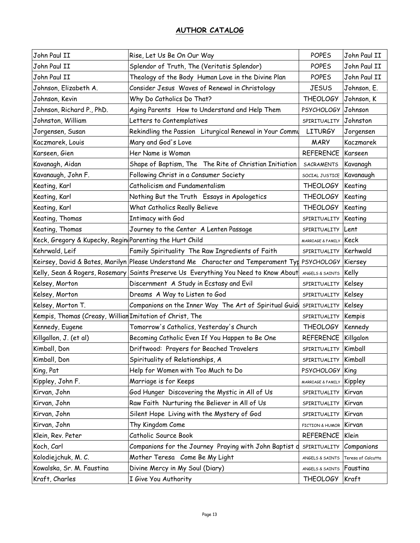| John Paul II                                             | Rise, Let Us Be On Our Way                                                                    | <b>POPES</b>        | John Paul II       |
|----------------------------------------------------------|-----------------------------------------------------------------------------------------------|---------------------|--------------------|
| John Paul II                                             | Splendor of Truth, The (Veritatis Splendor)                                                   | <b>POPES</b>        | John Paul II       |
| John Paul II                                             | Theology of the Body Human Love in the Divine Plan                                            | <b>POPES</b>        | John Paul II       |
| Johnson, Elizabeth A.                                    | Consider Jesus Waves of Renewal in Christology                                                | <b>JESUS</b>        | Johnson, E.        |
| Johnson, Kevin                                           | Why Do Catholics Do That?                                                                     | <b>THEOLOGY</b>     | Johnson, K         |
| Johnson, Richard P., PhD.                                | Aging Parents How to Understand and Help Them                                                 | PSYCHOLOGY Johnson  |                    |
| Johnston, William                                        | Letters to Contemplatives                                                                     | SPIRITUALITY        | Johnston           |
| Jorgensen, Susan                                         | Rekindling the Passion Liturgical Renewal in Your Commu                                       | <b>LITURGY</b>      | Jorgensen          |
| Kaczmarek, Louis                                         | Mary and God's Love                                                                           | <b>MARY</b>         | Kaczmarek          |
| Karseen, Gien                                            | Her Name is Woman                                                                             | REFERENCE   Karseen |                    |
| Kavanagh, Aidan                                          | Shape of Baptism, The The Rite of Christian Initiation                                        | SACRAMENTS          | Kavanagh           |
| Kavanaugh, John F.                                       | Following Christ in a Consumer Society                                                        | SOCIAL JUSTICE      | Kavanaugh          |
| Keating, Karl                                            | Catholicism and Fundamentalism                                                                | <b>THEOLOGY</b>     | Keating            |
| Keating, Karl                                            | Nothing But the Truth Essays in Apologetics                                                   | <b>THEOLOGY</b>     | Keating            |
| Keating, Karl                                            | What Catholics Really Believe                                                                 | <b>THEOLOGY</b>     | Keating            |
| Keating, Thomas                                          | Intimacy with God                                                                             | SPIRITUALITY        | Keating            |
| Keating, Thomas                                          | Journey to the Center A Lenten Passage                                                        | SPIRITUALITY        | <b>ILent</b>       |
| Keck, Gregory & Kupecky, Regin Parenting the Hurt Child  |                                                                                               | MARRIAGE & FAMILY   | Keck               |
| Kehrwald, Leif                                           | Family Spirituality The Raw Ingredients of Faith                                              | SPIRITUALITY        | Kerhwald           |
|                                                          | Keirsey, David & Bates, Marilyn Please Understand Me Character and Temperament Typ PSYCHOLOGY |                     | Kiersey            |
|                                                          | Kelly, Sean & Rogers, Rosemary Saints Preserve Us Everything You Need to Know About           | ANGELS & SAINTS     | Kelly              |
| Kelsey, Morton                                           | Discernment A Study in Ecstasy and Evil                                                       | SPIRITUALITY        | Kelsey             |
| Kelsey, Morton                                           | Dreams A Way to Listen to God                                                                 | SPIRITUALITY        | Kelsey             |
| Kelsey, Morton T.                                        | Companions on the Inner Way The Art of Spiritual Guid                                         | SPIRITUALITY        | Kelsey             |
| Kempis, Thomas (Creasy, Willian Imitation of Christ, The |                                                                                               | SPIRITUALITY        | Kempis             |
| Kennedy, Eugene                                          | Tomorrow's Catholics, Yesterday's Church                                                      | <b>THEOLOGY</b>     | Kennedy            |
| Killgallon, J. (et al)                                   | Becoming Catholic Even If You Happen to Be One                                                | <b>REFERENCE</b>    | Killgalon          |
| Kimball, Don                                             | Driftwood: Prayers for Beached Travelers                                                      | SPIRITUALITY        | Kimball            |
| Kimball, Don                                             | Spirituality of Relationships, A                                                              | SPIRITUALITY        | Kimball            |
| King, Pat                                                | Help for Women with Too Much to Do                                                            | <b>PSYCHOLOGY</b>   | King               |
| Kippley, John F.                                         | Marriage is for Keeps                                                                         | MARRIAGE & FAMILY   | Kippley            |
| Kirvan, John                                             | God Hunger Discovering the Mystic in All of Us                                                | SPIRITUALITY        | Kirvan             |
| Kirvan, John                                             | Raw Faith Nurturing the Believer in All of Us                                                 | SPIRITUALITY        | Kirvan             |
| Kirvan, John                                             | Silent Hope Living with the Mystery of God                                                    | SPIRITUALITY        | Kirvan             |
| Kirvan, John                                             | Thy Kingdom Come                                                                              | FICTION & HUMOR     | Kirvan             |
| Klein, Rev. Peter                                        | Catholic Source Book                                                                          | REFERENCE           | Klein              |
| Koch, Carl                                               | Companions for the Journey Praying with John Baptist o                                        | SPIRITUALITY        | Companions         |
| Kolodiejchuk, M. C.                                      | Mother Teresa Come Be My Light                                                                | ANGELS & SAINTS     | Teresa of Calcutta |
| Kowalska, Sr. M. Faustina                                | Divine Mercy in My Soul (Diary)                                                               | ANGELS & SAINTS     | Faustina           |
| Kraft, Charles                                           | I Give You Authority                                                                          | <b>THEOLOGY</b>     | <b>Kraft</b>       |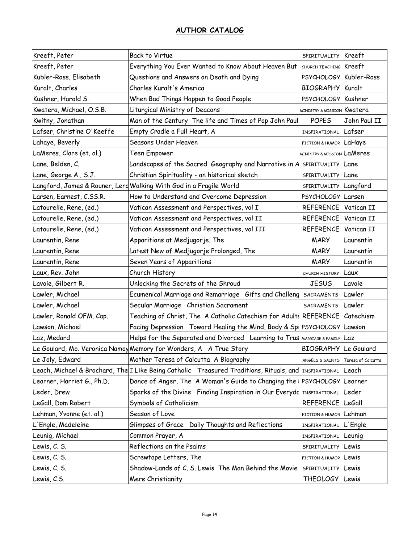| Kreeft, Peter              | <b>Back to Virtue</b>                                                                   | SPIRITUALITY Kreeft                   |                    |
|----------------------------|-----------------------------------------------------------------------------------------|---------------------------------------|--------------------|
| Kreeft, Peter              | Everything You Ever Wanted to Know About Heaven But                                     | CHURCH TEACHING Kreeft                |                    |
| Kubler-Ross, Elisabeth     | Questions and Answers on Death and Dying                                                | PSYCHOLOGY Kubler-Ross                |                    |
| Kuralt, Charles            | Charles Kuralt's America                                                                | <b>BIOGRAPHY Kuralt</b>               |                    |
| Kushner, Harold S.         | When Bad Things Happen to Good People                                                   | PSYCHOLOGY                            | Kushner            |
| Kwatera, Michael, O.S.B.   | Liturgical Ministry of Deacons                                                          | MINISTRY & MISSION Kwatera            |                    |
| Kwitny, Jonathan           | Man of the Century The life and Times of Pop John Paul                                  | <b>POPES</b>                          | John Paul II       |
| Lafser, Christine O'Keeffe | Empty Cradle a Full Heart, A                                                            | INSPIRATIONAL                         | Lafser             |
| Lahaye, Beverly            | Seasons Under Heaven                                                                    | FICTION & HUMOR LaHaye                |                    |
| LaMeres, Clare (et. al.)   | Teen Empower                                                                            | <b>MINISTRY &amp; MISSION LaMeres</b> |                    |
| Lane, Belden, C.           | Landscapes of the Sacred Geography and Narrative in A                                   | SPIRITUALITY                          | Lane               |
| Lane, George A., S.J.      | Christian Spirituality - an historical sketch                                           | SPIRITUALITY Lane                     |                    |
|                            | Langford, James & Rouner, Lerd Walking With God in a Fragile World                      | SPIRITUALITY Langford                 |                    |
| Larsen, Earnest, C.SS.R.   | How to Understand and Overcome Depression                                               | PSYCHOLOGY Larsen                     |                    |
| Latourelle, Rene, (ed.)    | Vatican Assessment and Perspectives, vol I                                              | <b>REFERENCE</b>                      | Vatican II         |
| Latourelle, Rene, (ed.)    | Vatican Assessment and Perspectives, vol II                                             | REFERENCE                             | Vatican II         |
| Latourelle, Rene, (ed.)    | Vatican Assessment and Perspectives, vol III                                            | <b>REFERENCE</b>                      | Vatican II         |
| Laurentin, Rene            | Apparitions at Medjugorje, The                                                          | <b>MARY</b>                           | Laurentin          |
| Laurentin, Rene            | Latest New of Medjugorje Prolonged, The                                                 | <b>MARY</b>                           | Laurentin          |
| Laurentin, Rene            | Seven Years of Apparitions                                                              | <b>MARY</b>                           | Laurentin          |
| Laux, Rev. John            | Church History                                                                          | CHURCH HISTORY                        | Laux               |
| Lavoie, Gilbert R.         | Unlocking the Secrets of the Shroud                                                     | <b>JESUS</b>                          | Lavoie             |
| Lawler, Michael            | Ecumenical Marriage and Remarriage Gifts and Challeng                                   | SACRAMENTS                            | Lawler             |
| Lawler, Michael            | Secular Marriage Christian Sacrament                                                    | SACRAMENTS                            | Lawler             |
| Lawler, Ronald OFM. Cap.   | Teaching of Christ, The A Catholic Catechism for Adult:                                 | <b>REFERENCE</b>                      | Catechism          |
| Lawson, Michael            | Facing Depression Toward Healing the Mind, Body & Sp PSYCHOLOGY                         |                                       | Lawson             |
| Laz, Medard                | Helps for the Separated and Divorced Learning to Trus                                   | MARRIAGE & FAMILY                     | Laz                |
|                            | Le Goulard, Mo. Veronica Namoy Memory for Wonders, A A True Story                       | <b>BIOGRAPHY</b> Le Goulard           |                    |
| Le Joly, Edward            | Mother Teresa of Calcutta A Biography                                                   | ANGELS & SAINTS                       | Teresa of Calcutta |
|                            | Leach, Michael & Brochard, The I Like Being Catholic Treasured Traditions, Rituals, and | INSPIRATIONAL                         | Leach              |
| Learner, Harriet G., Ph.D. | Dance of Anger, The A Woman's Guide to Changing the                                     | PSYCHOLOGY Learner                    |                    |
| Leder, Drew                | Sparks of the Divine Finding Inspiration in Our Everydo                                 | INSPIRATIONAL                         | Leder              |
| LeGall, Dom Robert         | Symbols of Catholicism                                                                  | REFERENCE                             | <b>LeGall</b>      |
| Lehman, Yvonne (et. al.)   | Season of Love                                                                          | FICTION & HUMOR                       | Lehman             |
| L'Engle, Madeleine         | Glimpses of Grace Daily Thoughts and Reflections                                        | INSPIRATIONAL                         | L'Engle            |
| Leunig, Michael            | Common Prayer, A                                                                        | INSPIRATIONAL                         | Leunig             |
| Lewis, C. S.               | Reflections on the Psalms                                                               | SPIRITUALITY                          | Lewis              |
| Lewis, C. S.               | Screwtape Letters, The                                                                  | FICTION & HUMOR                       | Lewis              |
| Lewis, C. S.               | Shadow-Lands of C. S. Lewis The Man Behind the Movie                                    | SPIRITUALITY                          | Lewis              |
| Lewis, C.S.                | Mere Christianity                                                                       | <b>THEOLOGY</b>                       | Lewis              |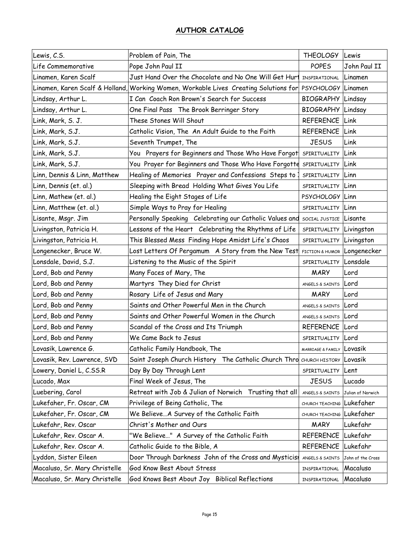| Lewis, C.S.                   | Problem of Pain, The                                                                 | THEOLOGY Lewis              |                   |
|-------------------------------|--------------------------------------------------------------------------------------|-----------------------------|-------------------|
| Life Commemorative            | Pope John Paul II                                                                    | <b>POPES</b>                | John Paul II      |
| Linamen, Karen Scalf          | Just Hand Over the Chocolate and No One Will Get Hurt                                | INSPIRATIONAL               | Linamen           |
|                               | Linamen, Karen Scalf & Holland, Working Women, Workable Lives Creating Solutions for | PSYCHOLOGY Linamen          |                   |
| Lindsay, Arthur L.            | I Can Coach Ron Brown's Search for Success                                           | <b>BIOGRAPHY Lindsay</b>    |                   |
| Lindsay, Arthur L.            | One Final Pass The Brook Berringer Story                                             | <b>BIOGRAPHY Lindsay</b>    |                   |
| Link, Mark, S. J.             | These Stones Will Shout                                                              | <b>REFERENCE Link</b>       |                   |
| Link, Mark, S.J.              | Catholic Vision, The An Adult Guide to the Faith                                     | <b>REFERENCE Link</b>       |                   |
| Link, Mark, S.J.              | Seventh Trumpet, The                                                                 | <b>JESUS</b>                | Link              |
| Link, Mark, S.J.              | You Prayers for Beginners and Those Who Have Forgot                                  | SPIRITUALITY Link           |                   |
| Link, Mark, S.J.              | You Prayer for Beginners and Those Who Have Forgotte                                 | SPIRITUALITY Link           |                   |
| Linn, Dennis & Linn, Matthew  | Healing of Memories Prayer and Confessions Steps to                                  | SPIRITUALITY Linn           |                   |
| Linn, Dennis (et. al.)        | Sleeping with Bread Holding What Gives You Life                                      | SPIRITUALITY Linn           |                   |
| Linn, Mathew (et. al.)        | Healing the Eight Stages of Life                                                     | PSYCHOLOGY Linn             |                   |
| Linn, Matthew (et. al.)       | Simple Ways to Pray for Healing                                                      | SPIRITUALITY Linn           |                   |
| Lisante, Msgr. Jim            | Personally Speaking Celebrating our Catholic Values and SOCIAL JUSTICE Lisante       |                             |                   |
| Livingston, Patricia H.       | Lessons of the Heart Celebrating the Rhythms of Life                                 | SPIRITUALITY Livingston     |                   |
| Livingston, Patricia H.       | This Blessed Mess Finding Hope Amidst Life's Chaos                                   | SPIRITUALITY Livingston     |                   |
| Longenecker, Bruce W.         | Lost Letters Of Pergamum A Story from the New Test                                   | FICTION & HUMOR Longenecker |                   |
| Lonsdale, David, S.J.         | Listening to the Music of the Spirit                                                 | SPIRITUALITY Lonsdale       |                   |
| Lord, Bob and Penny           | Many Faces of Mary, The                                                              | <b>MARY</b>                 | Lord              |
| Lord, Bob and Penny           | Martyrs They Died for Christ                                                         | ANGELS & SAINTS Lord        |                   |
| Lord, Bob and Penny           | Rosary Life of Jesus and Mary                                                        | <b>MARY</b>                 | Lord              |
| Lord, Bob and Penny           | Saints and Other Powerful Men in the Church                                          | ANGELS & SAINTS Lord        |                   |
| Lord, Bob and Penny           | Saints and Other Powerful Women in the Church                                        | ANGELS & SAINTS Lord        |                   |
| Lord, Bob and Penny           | Scandal of the Cross and Its Triumph                                                 | <b>REFERENCE</b>            | Lord              |
| Lord, Bob and Penny           | We Came Back to Jesus                                                                | SPIRITUALITY Lord           |                   |
| Lovasik, Lawrence G.          | Catholic Family Handbook, The                                                        | MARRIAGE & FAMILY LOVASIK   |                   |
| Lovasik, Rev. Lawrence, SVD   | Saint Joseph Church History The Catholic Church Thro CHURCH HISTORY Lovasik          |                             |                   |
| Lowery, Daniel L, C.SS.R      | Day By Day Through Lent                                                              | SPIRITUALITY Lent           |                   |
| Lucado, Max                   | Final Week of Jesus, The                                                             | <b>JESUS</b>                | Lucado            |
| Luebering, Carol              | Retreat with Job & Julian of Norwich Trusting that all                               | ANGELS & SAINTS             | Julian of Norwich |
| Lukefaher, Fr. Oscar, CM      | Privilege of Being Catholic, The                                                     | CHURCH TEACHING             | Lukefaher         |
| Lukefaher, Fr. Oscar, CM      | We BelieveA Survey of the Catholic Faith                                             | CHURCH TEACHING Lukefaher   |                   |
| Lukefahr, Rev. Oscar          | Christ's Mother and Ours                                                             | <b>MARY</b>                 | Lukefahr          |
| Lukefahr, Rev. Oscar A.       | "We Believe" A Survey of the Catholic Faith                                          | REFERENCE                   | Lukefahr          |
| Lukefahr, Rev. Oscar A.       | Catholic Guide to the Bible, A                                                       | REFERENCE                   | Lukefahr          |
| Lyddon, Sister Eileen         | Door Through Darkness John of the Cross and Mysticis                                 | ANGELS & SAINTS             | John of the Cross |
| Macaluso, Sr. Mary Christelle | God Know Best About Stress                                                           | INSPIRATIONAL               | Macaluso          |
| Macaluso, Sr. Mary Christelle | God Knows Best About Joy Biblical Reflections                                        | INSPIRATIONAL               | Macaluso          |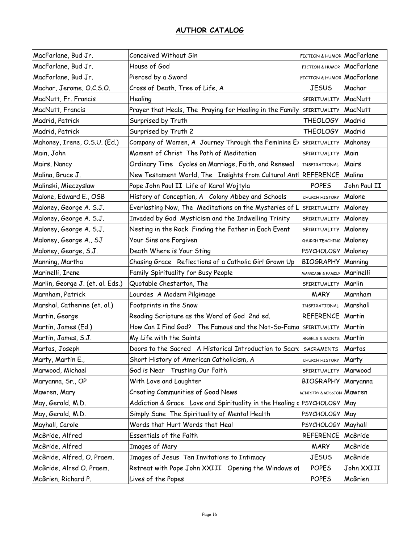| MacFarlane, Bud Jr.              | Conceived Without Sin                                     | FICTION & HUMOR MacFarlane           |                |
|----------------------------------|-----------------------------------------------------------|--------------------------------------|----------------|
| MacFarlane, Bud Jr.              | House of God                                              | FICTION & HUMOR                      | MacFarlane     |
| MacFarlane, Bud Jr.              | Pierced by a Sword                                        | FICTION & HUMOR MacFarlane           |                |
| Machar, Jerome, O.C.S.O.         | Cross of Death, Tree of Life, A                           | <b>JESUS</b>                         | Machar         |
| MacNutt, Fr. Francis             | Healing                                                   | SPIRITUALITY                         | <b>MacNutt</b> |
| MacNutt, Francis                 | Prayer that Heals, The Praying for Healing in the Family  | SPIRITUALITY MacNutt                 |                |
| Madrid, Patrick                  | Surprised by Truth                                        | <b>THEOLOGY</b>                      | Madrid         |
| Madrid, Patrick                  | Surprised by Truth 2                                      | <b>THEOLOGY</b>                      | Madrid         |
| Mahoney, Irene, O.S.U. (Ed.)     | Company of Women, A Journey Through the Feminine Ex       | SPIRITUALITY                         | Mahoney        |
| Main, John                       | Moment of Christ The Path of Meditation                   | SPIRITUALITY                         | Main           |
| Mairs, Nancy                     | Ordinary Time Cycles on Marriage, Faith, and Renewal      | INSPIRATIONAL                        | Mairs          |
| Malina, Bruce J.                 | New Testament World, The Insights from Cultural Ant       | <b>REFERENCE Malina</b>              |                |
| Malinski, Mieczyslaw             | Pope John Paul II Life of Karol Wojtyla                   | <b>POPES</b>                         | John Paul II   |
| Malone, Edward E., OSB           | History of Conception, A Colony Abbey and Schools         | CHURCH HISTORY                       | Malone         |
| Maloney, George A. S.J.          | Everlasting Now, The Meditations on the Mysteries of L    | SPIRITUALITY                         | Maloney        |
| Maloney, George A. S.J.          | Invaded by God Mysticism and the Indwelling Trinity       | SPIRITUALITY                         | Maloney        |
| Maloney, George A. S.J.          | Nesting in the Rock Finding the Father in Each Event      | SPIRITUALITY                         | Maloney        |
| Maloney, George A., SJ           | Your Sins are Forgiven                                    | CHURCH TEACHING                      | Maloney        |
| Maloney, George, S.J.            | Death Where is Your Sting                                 | PSYCHOLOGY   Maloney                 |                |
| Manning, Martha                  | Chasing Grace Reflections of a Catholic Girl Grown Up     | <b>BIOGRAPHY</b>                     | Manning        |
| Marinelli, Irene                 | Family Spirituality for Busy People                       | MARRIAGE & FAMILY                    | Marinelli      |
| Marlin, George J. (et. al. Eds.) | Quotable Chesterton, The                                  | SPIRITUALITY Marlin                  |                |
| Marnham, Patrick                 | Lourdes A Modern Pilgimage                                | <b>MARY</b>                          | Marnham        |
| Marshal, Catherine (et. al.)     | Footprints in the Snow                                    | INSPIRATIONAL                        | Marshall       |
| Martin, George                   | Reading Scripture as the Word of God 2nd ed.              | REFERENCE Martin                     |                |
| Martin, James (Ed.)              | How Can I Find God? The Famous and the Not-So-Famo        | SPIRITUALITY                         | Martin         |
| Martin, James, S.J.              | My Life with the Saints                                   | ANGELS & SAINTS                      | Martin         |
| Martos, Joseph                   | Doors to the Sacred A Historical Introduction to Sacre    | <b>SACRAMENTS</b>                    | Martos         |
| Marty, Martin E.,                | Short History of American Catholicism, A                  | CHURCH HISTORY                       | Marty          |
| Marwood, Michael                 | God is Near Trusting Our Faith                            | SPIRITUALITY                         | Marwood        |
| Maryanna, Sr., OP                | With Love and Laughter                                    | BIOGRAPHY Maryanna                   |                |
| Mawren, Mary                     | Creating Communities of Good News                         | <b>MINISTRY &amp; MISSION Mawren</b> |                |
| May, Gerald, M.D.                | Addiction & Grace Love and Spirituality in the Healing of | PSYCHOLOGY May                       |                |
| May, Gerald, M.D.                | Simply Sane The Spirituality of Mental Health             | PSYCHOLOGY May                       |                |
| Mayhall, Carole                  | Words that Hurt Words that Heal                           | PSYCHOLOGY   Mayhall                 |                |
| McBride, Alfred                  | Essentials of the Faith                                   | <b>REFERENCE</b>                     | McBride        |
| McBride, Alfred                  | Images of Mary                                            | <b>MARY</b>                          | McBride        |
| McBride, Alfred, O. Praem.       | Images of Jesus Ten Invitations to Intimacy               | <b>JESUS</b>                         | McBride        |
| McBride, Alred O. Praem.         | Retreat with Pope John XXIII Opening the Windows of       | <b>POPES</b>                         | John XXIII     |
| McBrien, Richard P.              | Lives of the Popes                                        | <b>POPES</b>                         | McBrien        |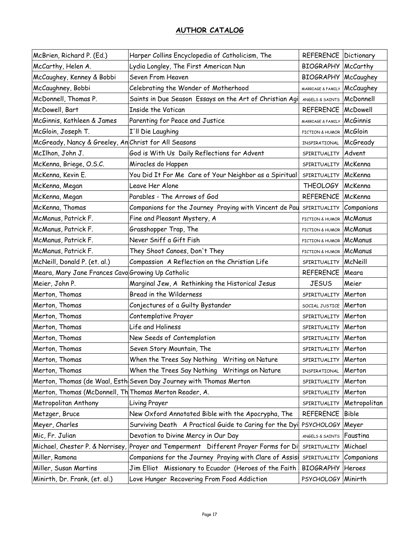| McBrien, Richard P. (Ed.)                              | Harper Collins Encyclopedia of Catholicism, The                    | <b>REFERENCE Dictionary</b> |                 |
|--------------------------------------------------------|--------------------------------------------------------------------|-----------------------------|-----------------|
| McCarthy, Helen A.                                     | Lydia Longley, The First American Nun                              | <b>BIOGRAPHY</b>            | McCarthy        |
| McCaughey, Kenney & Bobbi                              | Seven From Heaven                                                  | <b>BIOGRAPHY</b>            | McCaughey       |
| McCaughney, Bobbi                                      | Celebrating the Wonder of Motherhood                               | MARRIAGE & FAMILY McCaughey |                 |
| McDonnell, Thomas P.                                   | Saints in Due Season Essays on the Art of Christian Agi            | ANGELS & SAINTS             | McDonnell       |
| McDowell, Bart                                         | Inside the Vatican                                                 | <b>REFERENCE</b>            | McDowell        |
| McGinnis, Kathleen & James                             | Parenting for Peace and Justice                                    | MARRIAGE & FAMILY           | <b>McGinnis</b> |
| McGloin, Joseph T.                                     | I'll Die Laughing                                                  | FICTION & HUMOR             | <b>McGloin</b>  |
| McGready, Nancy & Greeley, An Christ for All Seasons   |                                                                    | INSPIRATIONAL               | <b>McGready</b> |
| McIlhon, John J.                                       | God is With Us Daily Reflections for Advent                        | SPIRITUALITY                | Advent          |
| McKenna, Briege, O.S.C.                                | Miracles do Happen                                                 | SPIRITUALITY                | McKenna         |
| McKenna, Kevin E.                                      | You Did It For Me Care of Your Neighbor as a Spiritual             | SPIRITUALITY                | McKenna         |
| McKenna, Megan                                         | Leave Her Alone                                                    | <b>THEOLOGY</b>             | McKenna         |
| McKenna, Megan                                         | Parables - The Arrows of God                                       | REFERENCE   McKenna         |                 |
| McKenna, Thomas                                        | Companions for the Journey Praying with Vincent de Pau             | SPIRITUALITY                | Companions      |
| McManus, Patrick F.                                    | Fine and Pleasant Mystery, A                                       | FICTION & HUMOR             | McManus         |
| McManus, Patrick F.                                    | Grasshopper Trap, The                                              | FICTION & HUMOR McManus     |                 |
| McManus, Patrick F.                                    | Never Sniff a Gift Fish                                            | FICTION & HUMOR McManus     |                 |
| McManus, Patrick F.                                    | They Shoot Canoes, Don't They                                      | FICTION & HUMOR McManus     |                 |
| McNeill, Donald P. (et. al.)                           | Compassion A Reflection on the Christian Life                      | SPIRITUALITY                | McNeill         |
| Meara, Mary Jane Frances Cavo Growing Up Catholic      |                                                                    | REFERENCE   Meara           |                 |
| Meier, John P.                                         | Marginal Jew, A Rethinking the Historical Jesus                    | <b>JESUS</b>                | Meier           |
| Merton, Thomas                                         | Bread in the Wilderness                                            | SPIRITUALITY                | Merton          |
| Merton, Thomas                                         | Conjectures of a Guilty Bystander                                  | SOCIAL JUSTICE              | Merton          |
| Merton, Thomas                                         | Contemplative Prayer                                               | SPIRITUALITY                | Merton          |
| Merton, Thomas                                         | Life and Holiness                                                  | SPIRITUALITY                | Merton          |
| Merton, Thomas                                         | New Seeds of Contemplation                                         | SPIRITUALITY                | Merton          |
| Merton, Thomas                                         | Seven Story Mountain, The                                          | SPIRITUALITY                | Merton          |
| Merton, Thomas                                         | When the Trees Say Nothing Writing on Nature                       | SPIRITUALITY Merton         |                 |
| Merton, Thomas                                         | When the Trees Say Nothing Writings on Nature                      | INSPIRATIONAL               | Merton          |
|                                                        | Merton, Thomas (de Waal, Esth Seven Day Journey with Thomas Merton | SPIRITUALITY                | Merton          |
| Merton, Thomas (McDonnell, Th Thomas Merton Reader, A. |                                                                    | SPIRITUALITY                | Merton          |
| Metropolitan Anthony                                   | Living Prayer                                                      | SPIRITUALITY                | Metropolitan    |
| Metzger, Bruce                                         | New Oxford Annotated Bible with the Apocrypha, The                 | <b>REFERENCE</b>            | <b>Bible</b>    |
| Meyer, Charles                                         | Surviving Death A Practical Guide to Caring for the Dyi            | <b>PSYCHOLOGY</b>           | Meyer           |
| Mic, Fr. Julian                                        | Devotion to Divine Mercy in Our Day                                | ANGELS & SAINTS             | Faustina        |
| Michael, Chester P. & Norrisey,                        | Prayer and Temperment Different Prayer Forms for Di                | SPIRITUALITY                | Michael         |
| Miller, Ramona                                         | Companions for the Journey Praying with Clare of Assisi            | SPIRITUALITY                | Companions      |
| Miller, Susan Martins                                  | Jim Elliot Missionary to Ecuador (Heroes of the Faith              | <b>BIOGRAPHY</b>            | Heroes          |
| Minirth, Dr. Frank, (et. al.)                          | Love Hunger Recovering From Food Addiction                         | PSYCHOLOGY Minirth          |                 |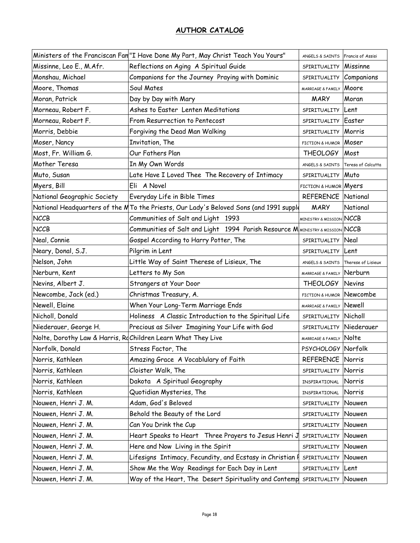|                                                              | Ministers of the Franciscan Fan "I Have Done My Part, May Christ Teach You Yours"      | ANGELS & SAINTS Francis of Assisi  |                    |
|--------------------------------------------------------------|----------------------------------------------------------------------------------------|------------------------------------|--------------------|
| Missinne, Leo E., M.Afr.                                     | Reflections on Aging A Spiritual Guide                                                 | SPIRITUALITY                       | Missinne           |
| Monshau, Michael                                             | Companions for the Journey Praying with Dominic                                        | SPIRITUALITY                       | Companions         |
| Moore, Thomas                                                | Soul Mates                                                                             | MARRIAGE & FAMILY                  | Moore              |
| Moran, Patrick                                               | Day by Day with Mary                                                                   | <b>MARY</b>                        | Moran              |
| Morneau, Robert F.                                           | Ashes to Easter Lenten Meditations                                                     | SPIRITUALITY                       | Lent               |
| Morneau, Robert F.                                           | From Resurrection to Pentecost                                                         | SPIRITUALITY                       | Easter             |
| Morris, Debbie                                               | Forgiving the Dead Man Walking                                                         | SPIRITUALITY                       | Morris             |
| Moser, Nancy                                                 | Invitation, The                                                                        | FICTION & HUMOR Moser              |                    |
| Most, Fr. William G.                                         | Our Fathers Plan                                                                       | <b>THEOLOGY</b>                    | Most               |
| Mother Teresa                                                | In My Own Words                                                                        | ANGELS & SAINTS                    | Teresa of Calcutta |
| Muto, Susan                                                  | Late Have I Loved Thee The Recovery of Intimacy                                        | SPIRITUALITY Muto                  |                    |
| Myers, Bill                                                  | Eli A Novel                                                                            | FICTION & HUMOR Myers              |                    |
| National Geographic Society                                  | Everyday Life in Bible Times                                                           | <b>REFERENCE National</b>          |                    |
|                                                              | National Headquarters of the MTo the Priests, Our Lady's Beloved Sons (and 1991 supple | <b>MARY</b>                        | National           |
| <b>NCCB</b>                                                  | Communities of Salt and Light 1993                                                     | <b>MINISTRY &amp; MISSION NCCB</b> |                    |
| <b>NCCB</b>                                                  | Communities of Salt and Light 1994 Parish Resource M MINISTRY & MISSION NCCB           |                                    |                    |
| Neal, Connie                                                 | Gospel According to Harry Potter, The                                                  | SPIRITUALITY                       | Neal               |
| Neary, Donal, S.J.                                           | Pilgrim in Lent                                                                        | SPIRITUALITY                       | Lent               |
| Nelson, John                                                 | Little Way of Saint Therese of Lisieux, The                                            | ANGELS & SAINTS Therese of Lisieux |                    |
| Nerburn, Kent                                                | Letters to My Son                                                                      | MARRIAGE & FAMILY Nerburn          |                    |
| Nevins, Albert J.                                            | Strangers at Your Door                                                                 | <b>THEOLOGY</b>                    | Nevins             |
| Newcombe, Jack (ed.)                                         | Christmas Treasury, A.                                                                 | FICTION & HUMOR Newcombe           |                    |
| Newell, Elaine                                               | When Your Long-Term Marriage Ends                                                      | MARRIAGE & FAMILY Newell           |                    |
| Nicholl, Donald                                              | Holiness A Classic Introduction to the Spiritual Life                                  | SPIRITUALITY Nicholl               |                    |
| Niederauer, George H.                                        | Precious as Silver Imagining Your Life with God                                        | SPIRITUALITY                       | Niederauer         |
| Nolte, Dorothy Law & Harris, RdChildren Learn What They Live |                                                                                        | MARRIAGE & FAMILY Nolte            |                    |
| Norfolk, Donald                                              | Stress Factor, The                                                                     | PSYCHOLOGY Norfolk                 |                    |
| Norris, Kathleen                                             | Amazing Grace A Vocablulary of Faith                                                   | <b>REFERENCE Norris</b>            |                    |
| Norris, Kathleen                                             | Cloister Walk, The                                                                     | SPIRITUALITY                       | Norris             |
| Norris, Kathleen                                             | Dakota A Spiritual Geography                                                           | INSPIRATIONAL                      | Norris             |
| Norris, Kathleen                                             | Quotidian Mysteries, The                                                               | INSPIRATIONAL                      | Norris             |
| Nouwen, Henri J. M.                                          | Adam, God's Beloved                                                                    | SPIRITUALITY                       | Nouwen             |
| Nouwen, Henri J. M.                                          | Behold the Beauty of the Lord                                                          | SPIRITUALITY                       | Nouwen             |
| Nouwen, Henri J. M.                                          | Can You Drink the Cup                                                                  | SPIRITUALITY                       | Nouwen             |
| Nouwen, Henri J. M.                                          | Heart Speaks to Heart Three Prayers to Jesus Henri J                                   | SPIRITUALITY                       | Nouwen             |
| Nouwen, Henri J. M.                                          | Here and Now Living in the Spirit                                                      | SPIRITUALITY                       | Nouwen             |
| Nouwen, Henri J. M.                                          | Lifesigns Intimacy, Fecundity, and Ecstasy in Christian I                              | SPIRITUALITY                       | Nouwen             |
| Nouwen, Henri J. M.                                          | Show Me the Way Readings for Each Day in Lent                                          | SPIRITUALITY                       | Lent               |
| Nouwen, Henri J. M.                                          | Way of the Heart, The Desert Spirituality and Contemp SPIRITUALITY                     |                                    | Nouwen             |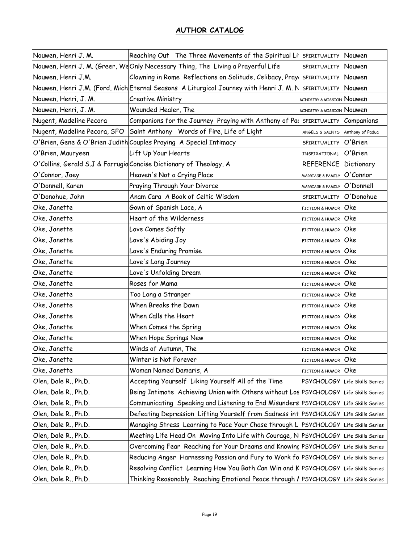| Nouwen, Henri J. M.          | Reaching Out The Three Movements of the Spiritual Lit                                 | SPIRITUALITY                         | Nouwen             |
|------------------------------|---------------------------------------------------------------------------------------|--------------------------------------|--------------------|
|                              | Nouwen, Henri J. M. (Greer, We Only Necessary Thing, The Living a Prayerful Life      | SPIRITUALITY                         | Nouwen             |
| Nouwen, Henri J.M.           | Clowning in Rome Reflections on Solitude, Celibacy, Pray                              | SPIRITUALITY                         | Nouwen             |
|                              | Nouwen, Henri J.M. (Ford, Mich Eternal Seasons A Liturgical Journey with Henri J.M. N | SPIRITUALITY                         | Nouwen             |
| Nouwen, Henri, J. M.         | Creative Ministry                                                                     | <b>MINISTRY &amp; MISSION NOUWEN</b> |                    |
| Nouwen, Henri, J. M.         | Wounded Healer, The                                                                   | <b>MINISTRY &amp; MISSION NOUWEN</b> |                    |
| Nugent, Madeline Pecora      | Companions for the Journey Praying with Anthony of Pad                                | SPIRITUALITY                         | Companions         |
| Nugent, Madeline Pecora, SFO | Saint Anthony Words of Fire, Life of Light                                            | ANGELS & SAINTS                      | Anthony of Padua   |
|                              | O'Brien, Gene & O'Brien Judith Couples Praying A Special Intimacy                     | SPIRITUALITY                         | O'Brien            |
| O'Brien, Mauryeen            | Lift Up Your Hearts                                                                   | INSPIRATIONAL                        | O'Brien            |
|                              | O'Collins, Gerald S.J & Farrugid Concise Dictionary of Theology, A                    | REFERENCE                            | Dictionary         |
| O'Connor, Joey               | Heaven's Not a Crying Place                                                           | MARRIAGE & FAMILY                    | O'Connor           |
| O'Donnell, Karen             | Praying Through Your Divorce                                                          | MARRIAGE & FAMILY                    | O'Donnell          |
| O'Donohue, John              | Anam Cara A Book of Celtic Wisdom                                                     | SPIRITUALITY                         | O'Donohue          |
| Oke, Janette                 | Gown of Spanish Lace, A                                                               | FICTION & HUMOR                      | Oke                |
| Oke, Janette                 | Heart of the Wilderness                                                               | FICTION & HUMOR                      | Oke                |
| Oke, Janette                 | Love Comes Softly                                                                     | FICTION & HUMOR                      | Oke                |
| Oke, Janette                 | Love's Abiding Joy                                                                    | FICTION & HUMOR                      | Oke                |
| Oke, Janette                 | Love's Enduring Promise                                                               | FICTION & HUMOR                      | Oke                |
| Oke, Janette                 | Love's Long Journey                                                                   | FICTION & HUMOR                      | Oke                |
| Oke, Janette                 | Love's Unfolding Dream                                                                | FICTION & HUMOR                      | Oke                |
| Oke, Janette                 | Roses for Mama                                                                        | FICTION & HUMOR                      | Oke                |
| Oke, Janette                 | Too Long a Stranger                                                                   | FICTION & HUMOR                      | Oke                |
| Oke, Janette                 | When Breaks the Dawn                                                                  | FICTION & HUMOR                      | Oke                |
| Oke, Janette                 | When Calls the Heart                                                                  | FICTION & HUMOR                      | Oke                |
| Oke, Janette                 | When Comes the Spring                                                                 | <b>FICTION &amp; HUMOR</b>           | Oke                |
| Oke, Janette                 | When Hope Springs New                                                                 | FICTION & HUMOR                      | Oke                |
| Oke, Janette                 | Winds of Autumn, The                                                                  | FICTION & HUMOR                      | Oke                |
| Oke, Janette                 | Winter is Not Forever                                                                 | FICTION & HUMOR                      | Oke                |
| Oke, Janette                 | Woman Named Damaris, A                                                                | FICTION & HUMOR                      | Oke                |
| Olen, Dale R., Ph.D.         | Accepting Yourself Liking Yourself All of the Time                                    | <b>PSYCHOLOGY</b>                    | Life Skills Series |
| Olen, Dale R., Ph.D.         | Being Intimate Achieving Union with Others without Los PSYCHOLOGY                     |                                      | Life Skills Series |
| Olen, Dale R., Ph.D.         | Communicating Speaking and Listening to End Misunders PSYCHOLOGY                      |                                      | Life Skills Series |
| Olen, Dale R., Ph.D.         | Defeating Depression Lifting Yourself from Sadness int PSYCHOLOGY                     |                                      | Life Skills Series |
| Olen, Dale R., Ph.D.         | Managing Stress Learning to Pace Your Chase through L                                 | PSYCHOLOGY Life Skills Series        |                    |
| Olen, Dale R., Ph.D.         | Meeting Life Head On Moving Into Life with Courage, N PSYCHOLOGY                      |                                      | Life Skills Series |
| Olen, Dale R., Ph.D.         | Overcoming Fear Reaching for Your Dreams and Knowing PSYCHOLOGY                       |                                      | Life Skills Series |
| Olen, Dale R., Ph.D.         | Reducing Anger Harnessing Passion and Fury to Work fd PSYCHOLOGY Life Skills Series   |                                      |                    |
| Olen, Dale R., Ph.D.         | Resolving Conflict Learning How You Both Can Win and K PSYCHOLOGY                     |                                      | Life Skills Series |
| Olen, Dale R., Ph.D.         | Thinking Reasonably Reaching Emotional Peace through   PSYCHOLOGY                     |                                      | Life Skills Series |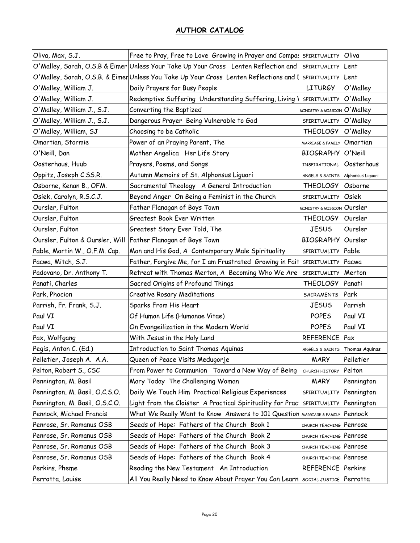| Oliva, Max, S.J.                | Free to Pray, Free to Love Growing in Prayer and Compa:                                | SPIRITUALITY                           | Oliva          |
|---------------------------------|----------------------------------------------------------------------------------------|----------------------------------------|----------------|
|                                 | O'Malley, Sarah, O.S.B & Eimer Unless Your Take Up Your Cross Lenten Reflection and    | SPIRITUALITY                           | Lent           |
|                                 | O'Malley, Sarah, O.S.B. & Eimer Unless You Take Up Your Cross Lenten Reflections and I | SPIRITUALITY Lent                      |                |
| O'Malley, William J.            | Daily Prayers for Busy People                                                          | <b>LITURGY</b>                         | O'Malley       |
| O'Malley, William J.            | Redemptive Suffering Understanding Suffering, Living                                   | SPIRITUALITY                           | O'Malley       |
| O'Malley, William J., S.J.      | Converting the Baptized                                                                | <b>MINISTRY &amp; MISSION O'Malley</b> |                |
| O'Malley, William J., S.J.      | Dangerous Prayer Being Vulnerable to God                                               | SPIRITUALITY O'Malley                  |                |
| O'Malley, William, SJ           | Choosing to be Catholic                                                                | <b>THEOLOGY</b>                        | O'Malley       |
| Omartian, Stormie               | Power of an Praying Parent, The                                                        | MARRIAGE & FAMILY Omartian             |                |
| O'Neill, Dan                    | Mother Angelica Her Life Story                                                         | BIOGRAPHY O'Neill                      |                |
| Oosterhaus, Huub                | Prayers, Poems, and Songs                                                              | INSPIRATIONAL                          | Oosterhaus     |
| Oppitz, Joseph C.SS.R.          | Autumn Memoirs of St. Alphonsus Liguori                                                | ANGELS & SAINTS Alphonsus Liguori      |                |
| Osborne, Kenan B., OFM.         | Sacramental Theology A General Introduction                                            | <b>THEOLOGY</b>                        | Osborne        |
| Osiek, Carolyn, R.S.C.J.        | Beyond Anger On Being a Feminist in the Church                                         | SPIRITUALITY                           | Osiek          |
| Oursler, Fulton                 | Father Flanagan of Boys Town                                                           | MINISTRY & MISSION Oursler             |                |
| Oursler, Fulton                 | Greatest Book Ever Written                                                             | THEOLOGY   Oursler                     |                |
| Oursler, Fulton                 | Greatest Story Ever Told, The                                                          | <b>JESUS</b>                           | Oursler        |
| Oursler, Fulton & Oursler, Will | Father Flanagan of Boys Town                                                           | BIOGRAPHY Oursler                      |                |
| Pable, Martin W., O.F.M. Cap.   | Man and His God, A Contemporary Male Spirituality                                      | SPIRITUALITY Pable                     |                |
| Pacwa, Mitch, S.J.              | Father, Forgive Me, for I am Frustrated Growing in Fait                                | SPIRITUALITY                           | Pacwa          |
| Padovano, Dr. Anthony T.        | Retreat with Thomas Merton, A Becoming Who We Are                                      | SPIRITUALITY                           | Merton         |
| Panati, Charles                 | Sacred Origins of Profound Things                                                      | <b>THEOLOGY</b>                        | Panati         |
| Park, Phocion                   | <b>Creative Rosary Meditations</b>                                                     | SACRAMENTS                             | Park           |
| Parrish, Fr. Frank, S.J.        | Sparks From His Heart                                                                  | <b>JESUS</b>                           | Parrish        |
| Paul VI                         | Of Human Life (Humanae Vitae)                                                          | <b>POPES</b>                           | Paul VI        |
| Paul VI                         | On Evangeilization in the Modern World                                                 | <b>POPES</b>                           | Paul VI        |
| Pax, Wolfgang                   | With Jesus in the Holy Land                                                            | REFERENCE   Pax                        |                |
| Pegis, Anton C. (Ed.)           | Introduction to Saint Thomas Aquinas                                                   | ANGELS & SAINTS                        | Thomas Aquinas |
| Pelletier, Joseph A. A.A.       | Queen of Peace Visits Medugorje                                                        | <b>MARY</b>                            | Pelletier      |
| Pelton, Robert S., CSC          | From Power to Communion Toward a New Way of Being                                      | CHURCH HISTORY                         | Pelton         |
| Pennington, M. Basil            | Mary Today The Challenging Woman                                                       | <b>MARY</b>                            | Pennington     |
| Pennington, M. Basil, O.C.S.O.  | Daily We Touch Him Practical Religious Experiences                                     | SPIRITUALITY                           | Pennington     |
| Pennington, M. Basil, O.S.C.O.  | Light from the Cloister A Practical Spirituality for Prac                              | SPIRITUALITY                           | Pennington     |
| Pennock, Michael Francis        | What We Really Want to Know Answers to 101 Question                                    | MARRIAGE & FAMILY                      | Pennock        |
| Penrose, Sr. Romanus OSB        | Seeds of Hope: Fathers of the Church Book 1                                            | CHURCH TEACHING                        | Penrose        |
| Penrose, Sr. Romanus OSB        | Seeds of Hope: Fathers of the Church Book 2                                            | CHURCH TEACHING Penrose                |                |
| Penrose, Sr. Romanus OSB        | Seeds of Hope: Fathers of the Church Book 3                                            | CHURCH TEACHING Penrose                |                |
| Penrose, Sr. Romanus OSB        | Seeds of Hope: Fathers of the Church Book 4                                            | CHURCH TEACHING Penrose                |                |
| Perkins, Pheme                  | Reading the New Testament An Introduction                                              | REFERENCE Perkins                      |                |
| Perrotta, Louise                | All You Really Need to Know About Prayer You Can Learn                                 | SOCIAL JUSTICE Perrotta                |                |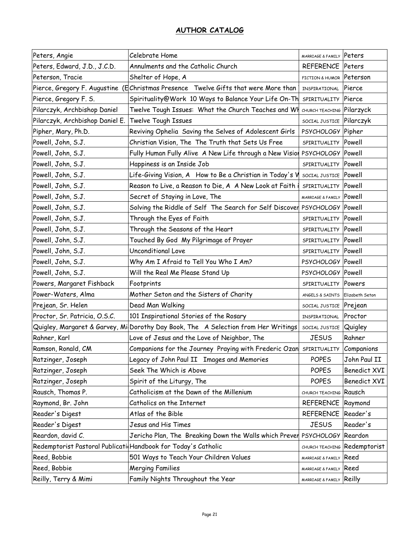| Peters, Angie                                                 | Celebrate Home                                                                     | MARRIAGE & FAMILY Peters  |                              |
|---------------------------------------------------------------|------------------------------------------------------------------------------------|---------------------------|------------------------------|
| Peters, Edward, J.D., J.C.D.                                  | Annulments and the Catholic Church                                                 | REFERENCE   Peters        |                              |
| Peterson, Tracie                                              | Shelter of Hope, A                                                                 | FICTION & HUMOR Peterson  |                              |
|                                                               | Pierce, Gregory F. Augustine (Echristmas Presence Twelve Gifts that were More than | INSPIRATIONAL             | Pierce                       |
| Pierce, Gregory F. S.                                         | Spirituality@Work 10 Ways to Balance Your Life On-Th                               | SPIRITUALITY              | Pierce                       |
| Pilarczyk, Archbishop Daniel                                  | Twelve Tough Issues: What the Church Teaches and Wh                                | CHURCH TEACHING Pilarzyck |                              |
| Pilarczyk, Archbishop Daniel E.                               | Twelve Tough Issues                                                                | SOCIAL JUSTICE Pilarczyk  |                              |
| Pipher, Mary, Ph.D.                                           | Reviving Ophelia Saving the Selves of Adolescent Girls                             | PSYCHOLOGY Pipher         |                              |
| Powell, John, S.J.                                            | Christian Vision, The The Truth that Sets Us Free                                  | SPIRITUALITY Powell       |                              |
| Powell, John, S.J.                                            | Fully Human Fully Alive A New Life through a New Vision                            | PSYCHOLOGY Powell         |                              |
| Powell, John, S.J.                                            | Happiness is an Inside Job                                                         | SPIRITUALITY Powell       |                              |
| Powell, John, S.J.                                            | Life-Giving Vision, A How to Be a Christian in Today's V                           | SOCIAL JUSTICE Powell     |                              |
| Powell, John, S.J.                                            | Reason to Live, a Reason to Die, A A New Look at Faith i                           | SPIRITUALITY Powell       |                              |
| Powell, John, S.J.                                            | Secret of Staying in Love, The                                                     | MARRIAGE & FAMILY Powell  |                              |
| Powell, John, S.J.                                            | Solving the Riddle of Self The Search for Self Discover PSYCHOLOGY Powell          |                           |                              |
| Powell, John, S.J.                                            | Through the Eyes of Faith                                                          | SPIRITUALITY Powell       |                              |
| Powell, John, S.J.                                            | Through the Seasons of the Heart                                                   | SPIRITUALITY Powell       |                              |
| Powell, John, S.J.                                            | Touched By God My Pilgrimage of Prayer                                             | SPIRITUALITY Powell       |                              |
| Powell, John, S.J.                                            | Unconditional Love                                                                 | SPIRITUALITY Powell       |                              |
| Powell, John, S.J.                                            | Why Am I Afraid to Tell You Who I Am?                                              | PSYCHOLOGY Powell         |                              |
| Powell, John, S.J.                                            | Will the Real Me Please Stand Up                                                   | PSYCHOLOGY Powell         |                              |
| Powers, Margaret Fishback                                     | Footprints                                                                         | SPIRITUALITY Powers       |                              |
| Power-Waters, Alma                                            | Mother Seton and the Sisters of Charity                                            | ANGELS & SAINTS           | Elizabeth Seton              |
| Prejean, Sr. Helen                                            | Dead Man Walking                                                                   | SOCIAL JUSTICE Prejean    |                              |
| Proctor, Sr. Patricia, O.S.C.                                 | 101 Inspirational Stories of the Rosary                                            | INSPIRATIONAL             | Proctor                      |
| Quigley, Margaret & Garvey, Mi                                | Dorothy Day Book, The A Selection from Her Writings                                | SOCIAL JUSTICE Quigley    |                              |
| Rahner, Karl                                                  | Love of Jesus and the Love of Neighbor, The                                        | <b>JESUS</b>              | Rahner                       |
| Ramson, Ronald, CM                                            | Companions for the Journey Praying with Frederic Ozan                              | SPIRITUALITY              | Companions                   |
| Ratzinger, Joseph                                             | Legacy of John Paul II Images and Memories                                         | <b>POPES</b>              | John Paul II                 |
| Ratzinger, Joseph                                             | Seek The Which is Above                                                            | <b>POPES</b>              | <b>Benedict XVI</b>          |
| Ratzinger, Joseph                                             | Spirit of the Liturgy, The                                                         | <b>POPES</b>              | Benedict XVI                 |
| Rausch, Thomas P.                                             | Catholicism at the Dawn of the Millenium                                           | CHURCH TEACHING           | Rausch                       |
| Raymond, Br. John                                             | Catholics on the Internet                                                          | REFERENCE   Raymond       |                              |
| Reader's Digest                                               | Atlas of the Bible                                                                 | <b>REFERENCE</b>          | Reader's                     |
| Reader's Digest                                               | Jesus and His Times                                                                | <b>JESUS</b>              | Reader's                     |
| Reardon, david C.                                             | Jericho Plan, The Breaking Down the Walls which Prever                             | PSYCHOLOGY Reardon        |                              |
| Redemptorist Pastoral Publicati Handbook for Today's Catholic |                                                                                    |                           | CHURCH TEACHING Redemptorist |
| Reed, Bobbie                                                  | 501 Ways to Teach Your Children Values                                             | MARRIAGE & FAMILY         | Reed                         |
| Reed, Bobbie                                                  | <b>Merging Families</b>                                                            | MARRIAGE & FAMILY         | Reed                         |
| Reilly, Terry & Mimi                                          | Family Nights Throughout the Year                                                  | MARRIAGE & FAMILY Reilly  |                              |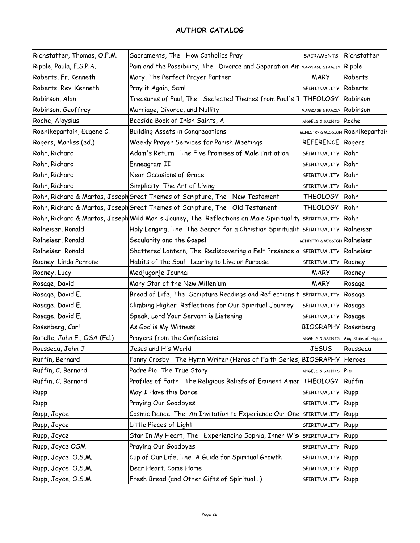| Richstatter, Thomas, O.F.M. | Sacraments, The How Catholics Pray                                                     | <b>SACRAMENTS</b>                       | Richstatter                       |
|-----------------------------|----------------------------------------------------------------------------------------|-----------------------------------------|-----------------------------------|
| Ripple, Paula, F.S.P.A.     | Pain and the Possibility, The Divorce and Separation Am MARRIAGE & FAMILY              |                                         | Ripple                            |
| Roberts, Fr. Kenneth        | Mary, The Perfect Prayer Partner                                                       | <b>MARY</b>                             | Roberts                           |
| Roberts, Rev. Kenneth       | Pray it Again, Sam!                                                                    | SPIRITUALITY Roberts                    |                                   |
| Robinson, Alan              | Treasures of Paul, The Seclected Themes from Paul's                                    | <b>THEOLOGY</b>                         | Robinson                          |
| Robinson, Geoffrey          | Marriage, Divorce, and Nullity                                                         | MARRIAGE & FAMILY                       | Robinson                          |
| Roche, Aloysius             | Bedside Book of Irish Saints, A                                                        | ANGELS & SAINTS Roche                   |                                   |
| Roehlkepartain, Eugene C.   | Building Assets in Congregations                                                       |                                         | MINISTRY & MISSION Roehlkepartair |
| Rogers, Marliss (ed.)       | Weekly Prayer Services for Parish Meetings                                             | REFERENCE Rogers                        |                                   |
| Rohr, Richard               | Adam's Return The Five Promises of Male Initiation                                     | SPIRITUALITY                            | Rohr                              |
| Rohr, Richard               | Enneagram II                                                                           | SPIRITUALITY Rohr                       |                                   |
| Rohr, Richard               | Near Occasions of Grace                                                                | SPIRITUALITY                            | Rohr                              |
| Rohr, Richard               | Simplicity The Art of Living                                                           | SPIRITUALITY Rohr                       |                                   |
|                             | Rohr, Richard & Martos, Joseph Great Themes of Scripture, The New Testament            | <b>THEOLOGY</b>                         | Rohr                              |
|                             | Rohr, Richard & Martos, Joseph Great Themes of Scripture, The Old Testament            | <b>THEOLOGY</b>                         | Rohr                              |
|                             | Rohr, Richard & Martos, Joseph Wild Man's Jouney, The Reflections on Male Spirituality | SPIRITUALITY                            | Rohr                              |
| Rolheiser, Ronald           | Holy Longing, The The Search for a Christian Spiritualit                               | SPIRITUALITY                            | Rolheiser                         |
| Rolheiser, Ronald           | Secularity and the Gospel                                                              | <b>MINISTRY &amp; MISSION Rolheiser</b> |                                   |
| Rolheiser, Ronald           | Shattered Lantern, The Rediscovering a Felt Presence o                                 | SPIRITUALITY Rolheiser                  |                                   |
| Rooney, Linda Perrone       | Habits of the Soul Learing to Live on Purpose                                          | SPIRITUALITY                            | Rooney                            |
| Rooney, Lucy                | Medjugorje Journal                                                                     | <b>MARY</b>                             | Rooney                            |
| Rosage, David               | Mary Star of the New Millenium                                                         | <b>MARY</b>                             | Rosage                            |
| Rosage, David E.            | Bread of Life, The Scripture Readings and Reflections t                                | SPIRITUALITY                            | Rosage                            |
| Rosage, David E.            | Climbing Higher Reflections for Our Spiritual Journey                                  | SPIRITUALITY                            | Rosage                            |
| Rosage, David E.            | Speak, Lord Your Servant is Listening                                                  | SPIRITUALITY Rosage                     |                                   |
| Rosenberg, Carl             | As God is My Witness                                                                   | <b>BIOGRAPHY Rosenberg</b>              |                                   |
| Rotelle, John E., OSA (Ed.) | Prayers from the Confessions                                                           | ANGELS & SAINTS                         | Augustine of Hippo                |
| Rousseau, John J            | Jesus and His World                                                                    | <b>JESUS</b>                            | Rousseau                          |
| Ruffin, Bernard             | Fanny Crosby The Hymn Writer (Heros of Faith Series)                                   | <b>BIOGRAPHY</b> Heroes                 |                                   |
| Ruffin, C. Bernard          | Padre Pio The True Story                                                               | ANGELS & SAINTS                         | Pio                               |
| Ruffin, C. Bernard          | Profiles of Faith The Religious Beliefs of Eminent Amer                                | <b>THEOLOGY</b>                         | Ruffin                            |
| Rupp                        | May I Have this Dance                                                                  | SPIRITUALITY                            | Rupp                              |
| Rupp                        | Praying Our Goodbyes                                                                   | SPIRITUALITY                            | Rupp                              |
| Rupp, Joyce                 | Cosmic Dance, The An Invitation to Experience Our One                                  | SPIRITUALITY                            | Rupp                              |
| Rupp, Joyce                 | Little Pieces of Light                                                                 | SPIRITUALITY                            | Rupp                              |
| Rupp, Joyce                 | Star In My Heart, The Experiencing Sophia, Inner Wis                                   | SPIRITUALITY                            | Rupp                              |
| Rupp, Joyce OSM             | Praying Our Goodbyes                                                                   | SPIRITUALITY                            | Rupp                              |
| Rupp, Joyce, O.S.M.         | Cup of Our Life, The A Guide for Spiritual Growth                                      | SPIRITUALITY                            | Rupp                              |
| Rupp, Joyce, O.S.M.         | Dear Heart, Come Home                                                                  | SPIRITUALITY                            | Rupp                              |
| Rupp, Joyce, O.S.M.         | Fresh Bread (and Other Gifts of Spiritual)                                             | SPIRITUALITY                            | Rupp                              |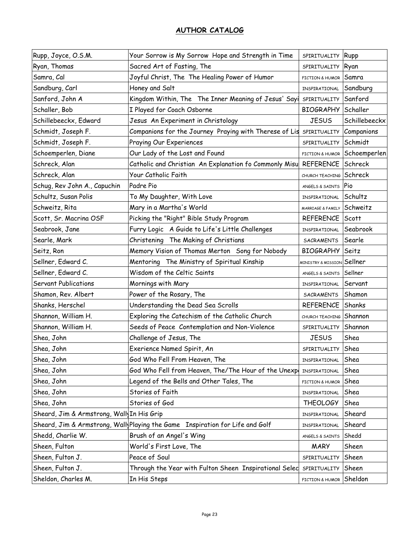| Rupp, Joyce, O.S.M.                       | Your Sorrow is My Sorrow Hope and Strength in Time                            | SPIRITUALITY                  | Rupp          |
|-------------------------------------------|-------------------------------------------------------------------------------|-------------------------------|---------------|
| Ryan, Thomas                              | Sacred Art of Fasting, The                                                    | SPIRITUALITY                  | Ryan          |
| Samra, Cal                                | Joyful Christ, The The Healing Power of Humor                                 | <b>FICTION &amp; HUMOR</b>    | Samra         |
| Sandburg, Carl                            | Honey and Salt                                                                | INSPIRATIONAL                 | Sandburg      |
| Sanford, John A                           | Kingdom Within, The The Inner Meaning of Jesus' Sayi                          | SPIRITUALITY                  | Sanford       |
| Schaller, Bob                             | I Played for Coach Osborne                                                    | <b>BIOGRAPHY</b>              | Schaller      |
| Schillebeeckx, Edward                     | Jesus An Experiment in Christology                                            | <b>JESUS</b>                  | Schillebeeckx |
| Schmidt, Joseph F.                        | Companions for the Journey Praying with Therese of Lis                        | SPIRITUALITY                  | Companions    |
| Schmidt, Joseph F.                        | Praying Our Experiences                                                       | SPIRITUALITY                  | Schmidt       |
| Schoemperlen, Diane                       | Our Lady of the Lost and Found                                                | FICTION & HUMOR               | Schoemperlen  |
| Schreck, Alan                             | Catholic and Christian An Explanation fo Commonly Misu                        | REFERENCE                     | Schreck       |
| Schreck, Alan                             | Your Catholic Faith                                                           | CHURCH TEACHING               | Schreck       |
| Schug, Rev John A., Capuchin              | Padre Pio                                                                     | ANGELS & SAINTS               | Pio           |
| Schultz, Susan Polis                      | To My Daughter, With Love                                                     | INSPIRATIONAL                 | Schultz       |
| Schweitz, Rita                            | Mary in a Martha's World                                                      | MARRIAGE & FAMILY             | Schweitz      |
| Scott, Sr. Macrina OSF                    | Picking the "Right" Bible Study Program                                       | <b>REFERENCE</b>              | Scott         |
| Seabrook, Jane                            | Furry Logic A Guide to Life's Little Challenges                               | INSPIRATIONAL                 | Seabrook      |
| Searle, Mark                              | Christening The Making of Christians                                          | SACRAMENTS                    | Searle        |
| Seitz, Ron                                | Memory Vision of Thomas Merton Song for Nobody                                | <b>BIOGRAPHY</b>              | Seitz         |
| Sellner, Edward C.                        | Mentoring The Ministry of Spiritual Kinship                                   | <b>MINISTRY &amp; MISSION</b> | Sellner       |
| Sellner, Edward C.                        | Wisdom of the Celtic Saints                                                   | ANGELS & SAINTS               | Sellner       |
| Servant Publications                      | Mornings with Mary                                                            | INSPIRATIONAL                 | Servant       |
| Shamon, Rev. Albert                       | Power of the Rosary, The                                                      | SACRAMENTS                    | Shamon        |
| Shanks, Herschel                          | Understanding the Dead Sea Scrolls                                            | <b>REFERENCE</b>              | Shanks        |
| Shannon, William H.                       | Exploring the Catechism of the Catholic Church                                | CHURCH TEACHING               | Shannon       |
| Shannon, William H.                       | Seeds of Peace Contemplation and Non-Violence                                 | SPIRITUALITY                  | Shannon       |
| Shea, John                                | Challenge of Jesus, The                                                       | <b>JESUS</b>                  | Shea          |
| Shea, John                                | Exerience Named Spirit, An                                                    | SPIRITUALITY                  | Shea          |
| Shea, John                                | God Who Fell From Heaven, The                                                 | INSPIRATIONAL                 | Shea          |
| Shea, John                                | God Who Fell from Heaven, The/The Hour of the Unexpo                          | INSPIRATIONAL                 | Shea          |
| Shea, John                                | Legend of the Bells and Other Tales, The                                      | FICTION & HUMOR               | Shea          |
| Shea, John                                | Stories of Faith                                                              | INSPIRATIONAL                 | Shea          |
| Shea, John                                | Stories of God                                                                | <b>THEOLOGY</b>               | Shea          |
| Sheard, Jim & Armstrong, Wall In His Grip |                                                                               | INSPIRATIONAL                 | Sheard        |
|                                           | Sheard, Jim & Armstrong, Wally Playing the Game Inspiration for Life and Golf | INSPIRATIONAL                 | Sheard        |
| Shedd, Charlie W.                         | Brush of an Angel's Wing                                                      | ANGELS & SAINTS               | Shedd         |
| Sheen, Fulton                             | World's First Love, The                                                       | <b>MARY</b>                   | Sheen         |
| Sheen, Fulton J.                          | Peace of Soul                                                                 | SPIRITUALITY                  | Sheen         |
| Sheen, Fulton J.                          | Through the Year with Fulton Sheen Inspirational Selec                        | SPIRITUALITY                  | Sheen         |
| Sheldon, Charles M.                       | In His Steps                                                                  | FICTION & HUMOR               | Sheldon       |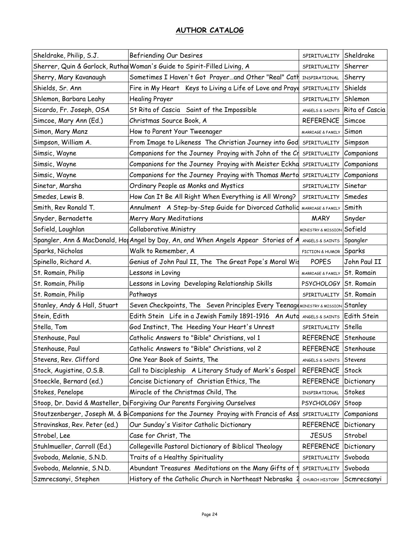| Sheldrake, Philip, S.J.       | Befriending Our Desires                                                              | SPIRITUALITY       | Sheldrake         |
|-------------------------------|--------------------------------------------------------------------------------------|--------------------|-------------------|
|                               | Sherrer, Quin & Garlock, Ruthal Woman's Guide to Spirit-Filled Living, A             | SPIRITUALITY       | Sherrer           |
| Sherry, Mary Kavanaugh        | Sometimes I Haven't Got Prayerand Other "Real" Cath INSPIRATIONAL                    |                    | Sherry            |
| Shields, Sr. Ann              | Fire in My Heart Keys to Living a Life of Love and Praye                             | SPIRITUALITY       | Shields           |
| Shlemon, Barbara Leahy        | <b>Healing Prayer</b>                                                                | SPIRITUALITY       | Shlemon           |
| Sicardo, Fr. Joseph, OSA      | St Rita of Cascia Saint of the Impossible                                            | ANGELS & SAINTS    | Rita of Cascia    |
| Simcoe, Mary Ann (Ed.)        | Christmas Source Book, A                                                             | <b>REFERENCE</b>   | Simcoe            |
| Simon, Mary Manz              | How to Parent Your Tweenager                                                         | MARRIAGE & FAMILY  | Simon             |
| Simpson, William A.           | From Image to Likeness The Christian Journey into God                                | SPIRITUALITY       | Simpson           |
| Simsic, Wayne                 | Companions for the Journey Praying with John of the Cr                               | SPIRITUALITY       | Companions        |
| Simsic, Wayne                 | Companions for the Journey Praying with Meister Eckha                                | SPIRITUALITY       | Companions        |
| Simsic, Wayne                 | Companions for the Journey Praying with Thomas Merto                                 | SPIRITUALITY       | Companions        |
| Sinetar, Marsha               | Ordinary People as Monks and Mystics                                                 | SPIRITUALITY       | Sinetar           |
| Smedes, Lewis B.              | How Can It Be All Right When Everything is All Wrong?                                | SPIRITUALITY       | Smedes            |
| Smith, Rev Ronald T.          | Annulment A Step-by-Step Guide for Divorced Catholiq MARRIAGE & FAMILY               |                    | Smith             |
| Snyder, Bernadette            | Merry Mary Meditations                                                               | <b>MARY</b>        | Snyder            |
| Sofield, Loughlan             | <b>Collaborative Ministry</b>                                                        | MINISTRY & MISSION | Sofield           |
|                               | Spangler, Ann & MacDonald, Hot Angel by Day, An, and When Angels Appear Stories of A | ANGELS & SAINTS    | Spangler          |
| Sparks, Nicholas              | Walk to Remember, A                                                                  | FICTION & HUMOR    | Sparks            |
| Spinello, Richard A.          | Genius of John Paul II, The The Great Pope's Moral Wis                               | <b>POPES</b>       | John Paul II      |
| St. Romain, Philip            | Lessons in Loving                                                                    | MARRIAGE & FAMILY  | St. Romain        |
| St. Romain, Philip            | Lessons in Loving Developing Relationship Skills                                     | <b>PSYCHOLOGY</b>  | <b>St. Romain</b> |
| St. Romain, Philip            | Pathways                                                                             | SPIRITUALITY       | St. Romain        |
| Stanley, Andy & Hall, Stuart  | Seven Checkpoints, The Seven Principles Every Teenage MINISTRY & MISSION Stanley     |                    |                   |
| Stein, Edith                  | Edith Stein Life in a Jewish Family 1891-1916 An Autd ANGELS & SAINTS                |                    | Edith Stein       |
| Stella, Tom                   | God Instinct, The Heeding Your Heart's Unrest                                        | SPIRITUALITY       | Stella            |
| Stenhouse, Paul               | Catholic Answers to "Bible" Christians, vol 1                                        | <b>REFERENCE</b>   | Stenhouse         |
| Stenhouse, Paul               | Catholic Answers to "Bible" Christians, vol 2                                        | <b>REFERENCE</b>   | Stenhouse         |
| Stevens, Rev. Clifford        | One Year Book of Saints, The                                                         | ANGELS & SAINTS    | <b>Stevens</b>    |
| Stock, Augistine, O.S.B.      | Call to Discipleship A Literary Study of Mark's Gospel                               | REFERENCE          | Stock             |
| Stoeckle, Bernard (ed.)       | Concise Dictionary of Christian Ethics, The                                          | <b>REFERENCE</b>   | Dictionary        |
| Stokes, Penelope              | Miracle of the Christmas Child, The                                                  | INSPIRATIONAL      | Stokes            |
|                               | Stoop, Dr. David & Masteller, Di Forgiving Our Parents Forgiving Ourselves           | <b>PSYCHOLOGY</b>  | Stoop             |
|                               | Stoutzenberger, Joseph M. & B Companions for the Journey Praying with Francis of Ass | SPIRITUALITY       | Companions        |
| Stravinskas, Rev. Peter (ed.) | Our Sunday's Visitor Catholic Dictionary                                             | <b>REFERENCE</b>   | Dictionary        |
| Strobel, Lee                  | Case for Christ, The                                                                 | <b>JESUS</b>       | Strobel           |
| Stuhlmueller, Carroll (Ed.)   | Collegeville Pastoral Dictionary of Biblical Theology                                | <b>REFERENCE</b>   | Dictionary        |
| Svoboda, Melanie, S.N.D.      | Traits of a Healthy Spirituality                                                     | SPIRITUALITY       | Svoboda           |
| Svoboda, Melannie, S.N.D.     | Abundant Treasures Meditations on the Many Gifts of t                                | SPIRITUALITY       | Svoboda           |
| Szmrecsanyi, Stephen          | History of the Catholic Church in Northeast Nebraska                                 | CHURCH HISTORY     | Scmrecsanyi       |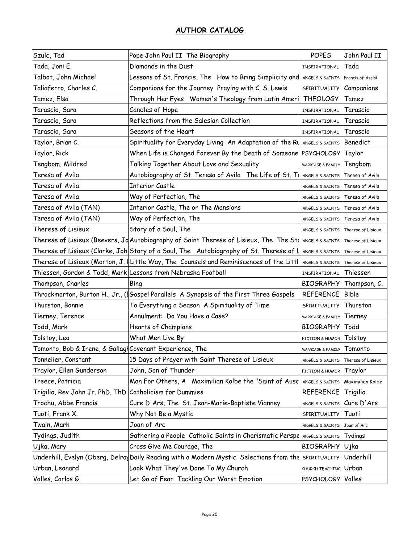| Szulc, Tad                                               | Pope John Paul II The Biography                                                                                | <b>POPES</b>                    | John Paul II       |
|----------------------------------------------------------|----------------------------------------------------------------------------------------------------------------|---------------------------------|--------------------|
| Tada, Joni E.                                            | Diamonds in the Dust                                                                                           | INSPIRATIONAL                   | Tada               |
| Talbot, John Michael                                     | Lessons of St. Francis, The How to Bring Simplicity and                                                        | ANGELS & SAINTS                 | Francis of Assisi  |
| Taliaferro, Charles C.                                   | Companions for the Journey Praying with C. S. Lewis                                                            | SPIRITUALITY                    | Companions         |
| Tamez, Elsa                                              | Through Her Eyes Women's Theology from Latin Ameri                                                             | <b>THEOLOGY</b>                 | Tamez              |
| Tarascio, Sara                                           | Candles of Hope                                                                                                | INSPIRATIONAL                   | Tarascio           |
| Tarascio, Sara                                           | Reflections from the Salesian Collection                                                                       | INSPIRATIONAL                   | Tarascio           |
| Tarascio, Sara                                           | Seasons of the Heart                                                                                           | INSPIRATIONAL                   | Tarascio           |
| Taylor, Brian C.                                         | Spirituality for Everyday Living An Adaptation of the Ru                                                       | ANGELS & SAINTS                 | Benedict           |
| Taylor, Rick                                             | When Life is Changed Forever By the Death of Someone                                                           | <b>PSYCHOLOGY</b>               | Taylor             |
| Tengbom, Mildred                                         | Talking Together About Love and Sexuality                                                                      | MARRIAGE & FAMILY               | Tengbom            |
| Teresa of Avila                                          | Autobiography of St. Teresa of Avila The Life of St. To                                                        | ANGELS & SAINTS                 | Teresa of Avila    |
| Teresa of Avila                                          | <b>Interior Castle</b>                                                                                         | ANGELS & SAINTS                 | Teresa of Avila    |
| Teresa of Avila                                          | Way of Perfection, The                                                                                         | ANGELS & SAINTS                 | Teresa of Avila    |
| Teresa of Avila (TAN)                                    | Interior Castle, The or The Mansions                                                                           | ANGELS & SAINTS                 | Teresa of Avila    |
| Teresa of Avila (TAN)                                    | Way of Perfection, The                                                                                         | ANGELS & SAINTS Teresa of Avila |                    |
| Therese of Lisieux                                       | Story of a Soul, The                                                                                           | ANGELS & SAINTS                 | Therese of Lisieux |
|                                                          | Therese of Lisieux (Beevers, J $\mathsf{d}$ Autobiography of Saint Therese of Lisieux, The The St $\mathsf{d}$ | ANGELS & SAINTS                 | Therese of Lisieux |
|                                                          | Therese of Lisieux (Clarke, Johl Story of a Soul, The   Autobiography of St. Therese of l                      | ANGELS & SAINTS                 | Therese of Lisieux |
|                                                          | Therese of Lisieux (Morton, J. (Little Way, The Counsels and Reminiscences of the Littl                        | ANGELS & SAINTS                 | Therese of Lisieux |
|                                                          | Thiessen, Gordon & Todd, Mark Lessons from Nebraska Football                                                   | INSPIRATIONAL                   | Thiessen           |
| Thompson, Charles                                        | Bing                                                                                                           | <b>BIOGRAPHY</b>                | Thompson, C.       |
|                                                          | Throckmorton, Burton H., Jr., (  Gospel Parallels  A Synopsis of the First Three Gospels                       | <b>REFERENCE</b>                | <b>Bible</b>       |
| Thurston, Bonnie                                         | To Everything a Season A Spirituality of Time                                                                  | SPIRITUALITY                    | Thurston           |
| Tierney, Terence                                         | Annulment: Do You Have a Case?                                                                                 | MARRIAGE & FAMILY               | Tierney            |
| Todd, Mark                                               | Hearts of Champions                                                                                            | <b>BIOGRAPHY</b>                | Todd               |
| Tolstoy, Leo                                             | What Men Live By                                                                                               | FICTION & HUMOR                 | Tolstoy            |
| Tomonto, Bob & Irene, & Gallagl Covenant Experience, The |                                                                                                                | MARRIAGE & FAMILY               | Tomonto            |
| Tonnelier, Constant                                      | 15 Days of Prayer with Saint Therese of Lisieux                                                                | ANGELS & SAINTS                 | Therese of Lisieux |
| Traylor, Ellen Gunderson                                 | John, Son of Thunder                                                                                           | FICTION & HUMOR                 | Traylor            |
| Treece, Patricia                                         | Man For Others, A Maximilian Kolbe the "Saint of Ausd                                                          | ANGELS & SAINTS                 | Maximilian Kolbe   |
| Trigilio, Rev John Jr. PhD, ThD                          | Catholicism for Dummies                                                                                        | <b>REFERENCE</b>                | Trigilio           |
| Trochu, Abbe Francis                                     | Cure D'Ars, The St. Jean-Marie-Baptiste Vianney                                                                | ANGELS & SAINTS                 | Cure D'Ars         |
| Tuoti, Frank X.                                          | Why Not Be a Mystic                                                                                            | SPIRITUALITY                    | Tuoti              |
| Twain, Mark                                              | Joan of Arc                                                                                                    | ANGELS & SAINTS                 | Joan of Arc        |
| Tydings, Judith                                          | Gathering a People Catholic Saints in Charismatic Perspe                                                       | ANGELS & SAINTS                 | Tydings            |
| Ujka, Mary                                               | Cross Give Me Courage, The                                                                                     | <b>BIOGRAPHY</b>                | Ujka               |
|                                                          | Underhill, Evelyn (Oberg, Delro) Daily Reading with a Modern Mystic Selections from the                        | SPIRITUALITY                    | Underhill          |
| Urban, Leonard                                           | Look What They've Done To My Church                                                                            | CHURCH TEACHING                 | Urban              |
| Valles, Carlos G.                                        | Let Go of Fear Tackling Our Worst Emotion                                                                      | PSYCHOLOGY Valles               |                    |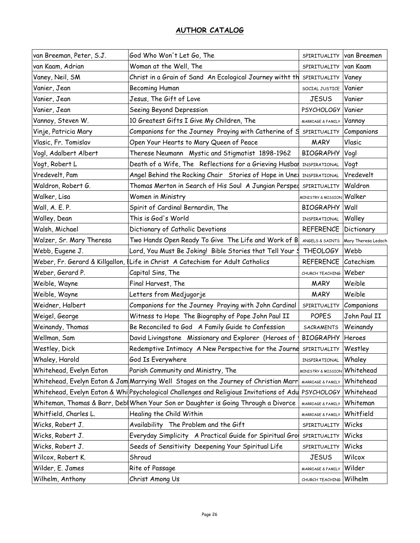| van Breeman, Peter, S.J.          | God Who Won't Let Go, The                                                                           | SPIRITUALITY                  | van Breemen         |
|-----------------------------------|-----------------------------------------------------------------------------------------------------|-------------------------------|---------------------|
| van Kaam, Adrian                  | Woman at the Well, The                                                                              | SPIRITUALITY                  | van Kaam            |
| Vaney, Neil, SM                   | Christ in a Grain of Sand An Ecological Journey witht th                                            | SPIRITUALITY                  | Vaney               |
| Vanier, Jean                      | <b>Becoming Human</b>                                                                               | SOCIAL JUSTICE                | Vanier              |
| Vanier, Jean                      | Jesus, The Gift of Love                                                                             | <b>JESUS</b>                  | Vanier              |
| Vanier, Jean                      | Seeing Beyond Depression                                                                            | <b>PSYCHOLOGY</b>             | Vanier              |
| Vannoy, Steven W.                 | 10 Greatest Gifts I Give My Children, The                                                           | MARRIAGE & FAMILY             | Vannoy              |
| Vinje, Patricia Mary              | Companions for the Journey Praying with Catherine of S                                              | SPIRITUALITY                  | Companions          |
| Vlasic, Fr. Tomislav              | Open Your Hearts to Mary Queen of Peace                                                             | <b>MARY</b>                   | Vlasic              |
| Vogl, Adalbert Albert             | Therese Neumann Mystic and Stigmatist 1898-1962                                                     | <b>BIOGRAPHY</b>              | Vogl                |
| Vogt, Robert L                    | Death of a Wife, The Reflections for a Grieving Husbar                                              | INSPIRATIONAL                 | Vogt                |
| Vredevelt, Pam                    | Angel Behind the Rocking Chair Stories of Hope in Une INSPIRATIONAL                                 |                               | Vredevelt           |
| Waldron, Robert G.                | Thomas Merton in Search of His Soul A Jungian Persped                                               | SPIRITUALITY                  | Waldron             |
| Walker, Lisa                      | Women in Ministry                                                                                   | MINISTRY & MISSION            | Walker              |
| Wall, A. E. P.                    | Spirit of Cardinal Bernardin, The                                                                   | <b>BIOGRAPHY</b>              | Wall                |
| Walley, Dean                      | This is God's World                                                                                 | INSPIRATIONAL                 | Walley              |
| Walsh, Michael                    | Dictionary of Catholic Devotions                                                                    | <b>REFERENCE</b>              | Dictionary          |
| Walzer, Sr. Mary Theresa          | Two Hands Open Ready To Give The Life and Work of B                                                 | ANGELS & SAINTS               | Mary Theresa Ledoch |
| Webb, Eugene J.                   | Lord, You Must Be Joking! Bible Stories that Tell Your S                                            | <b>THEOLOGY</b>               | Webb                |
| Weber, Fr. Gerard & Killgallon, I | Life in Christ A Catechism for Adult Catholics                                                      | <b>REFERENCE</b>              | Catechism           |
| Weber, Gerard P.                  | Capital Sins, The                                                                                   | CHURCH TEACHING               | Weber               |
| Weible, Wayne                     | Final Harvest, The                                                                                  | <b>MARY</b>                   | Weible              |
| Weible, Wayne                     | Letters from Medjugorje                                                                             | <b>MARY</b>                   | Weible              |
| Weidner, Halbert                  | Companions for the Journey Praying with John Cardinal                                               | SPIRITUALITY                  | Companions          |
| Weigel, George                    | Witness to Hope The Biography of Pope John Paul II                                                  | <b>POPES</b>                  | John Paul II        |
| Weinandy, Thomas                  | Be Reconciled to God A Family Guide to Confession                                                   | <b>SACRAMENTS</b>             | Weinandy            |
| Wellman, Sam                      | David Livingstone Missionary and Explorer (Heroes of                                                | <b>BIOGRAPHY</b>              | Heroes              |
| Westley, Dick                     | Redemptive Intimacy A New Perspective for the Journe                                                | SPIRITUALITY                  | Westley             |
| Whaley, Harold                    | God Is Everywhere                                                                                   | INSPIRATIONAL                 | Whaley              |
| Whitehead, Evelyn Eaton           | Parish Community and Ministry, The                                                                  | <b>MINISTRY &amp; MISSION</b> | Whitehead           |
|                                   | Whitehead, Evelyn Eaton & Jam Marrying Well Stages on the Journey of Christian Marr                 | MARRIAGE & FAMILY             | Whitehead           |
|                                   | Whitehead, Evelyn Eaton & Whi Psychological Challenges and Religious Invitations of Adu  PSYCHOLOGY |                               | Whitehead           |
|                                   | Whiteman, Thomas & Barr, Debl When Your Son or Daughter is Going Through a Divorce                  | MARRIAGE & FAMILY             | Whiteman            |
| Whitfield, Charles L.             | Healing the Child Within                                                                            | MARRIAGE & FAMILY             | Whitfield           |
| Wicks, Robert J.                  | Availability The Problem and the Gift                                                               | SPIRITUALITY                  | Wicks               |
| Wicks, Robert J.                  | Everyday Simplicity A Practical Guide for Spiritual Gro                                             | SPIRITUALITY                  | Wicks               |
| Wicks, Robert J.                  | Seeds of Sensitivity Deepening Your Spiritual Life                                                  | SPIRITUALITY                  | Wicks               |
| Wilcox, Robert K.                 | Shroud                                                                                              | <b>JESUS</b>                  | Wilcox              |
| Wilder, E. James                  | Rite of Passage                                                                                     | MARRIAGE & FAMILY             | Wilder              |
| Wilhelm, Anthony                  | Christ Among Us                                                                                     | CHURCH TEACHING Wilhelm       |                     |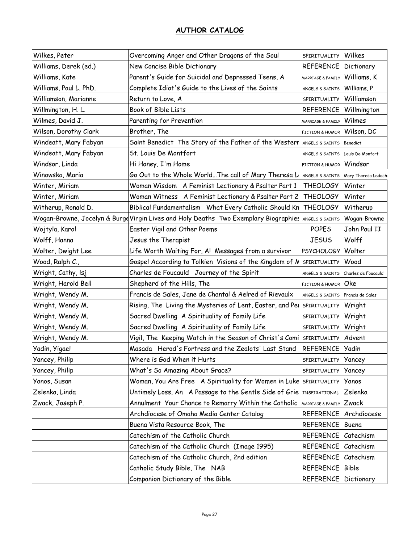| Wilkes, Peter          | Overcoming Anger and Other Dragons of the Soul                                       | SPIRITUALITY                | Wilkes              |
|------------------------|--------------------------------------------------------------------------------------|-----------------------------|---------------------|
| Williams, Derek (ed.)  | New Concise Bible Dictionary                                                         | <b>REFERENCE</b>            | Dictionary          |
| Williams, Kate         | Parent's Guide for Suicidal and Depressed Teens, A                                   | MARRIAGE & FAMILY           | Williams, K         |
| Williams, Paul L. PhD. | Complete Idiot's Guide to the Lives of the Saints                                    | ANGELS & SAINTS             | Williams, P         |
| Williamson, Marianne   | Return to Love, A                                                                    | SPIRITUALITY                | Williamson          |
| Willmington, H. L.     | Book of Bible Lists                                                                  | <b>REFERENCE</b>            | Willmington         |
| Wilmes, David J.       | Parenting for Prevention                                                             | MARRIAGE & FAMILY           | Wilmes              |
| Wilson, Dorothy Clark  | Brother, The                                                                         | FICTION & HUMOR             | Wilson, DC          |
| Windeatt, Mary Fabyan  | Saint Benedict The Story of the Father of the Westerr                                | ANGELS & SAINTS             | <b>Benedict</b>     |
| Windeatt, Mary Fabyan  | St. Louis De Montfort                                                                | ANGELS & SAINTS             | Louis De Monfort    |
| Windsor, Linda         | Hi Honey, I'm Home                                                                   | FICTION & HUMOR             | Windsor             |
| Winowska, Maria        | Go Out to the Whole World The call of Mary Theresa L                                 | ANGELS & SAINTS             | Mary Theresa Ledoch |
| Winter, Miriam         | Woman Wisdom A Feminist Lectionary & Psalter Part 1                                  | <b>THEOLOGY</b>             | Winter              |
| Winter, Miriam         | Woman Witness A Feminist Lectionary & Psalter Part 2                                 | <b>THEOLOGY</b>             | Winter              |
| Witherup, Ronald D.    | Biblical Fundamentalism What Every Catholic Should Kn                                | <b>THEOLOGY</b>             | Witherup            |
|                        | Wogan-Browne, Jocelyn & Burge Virgin Lives and Holy Deaths Two Exemplary Biographies | ANGELS & SAINTS             | Wogan-Browne        |
| Wojtyla, Karol         | Easter Vigil and Other Poems                                                         | <b>POPES</b>                | John Paul II        |
| Wolff, Hanna           | Jesus the Therapist                                                                  | <b>JESUS</b>                | Wolff               |
| Wolter, Dwight Lee     | Life Worth Waiting For, A! Messages from a survivor                                  | <b>PSYCHOLOGY</b>           | Wolter              |
| Wood, Ralph C.,        | Gospel According to Tolkien Visions of the Kingdom of M                              | SPIRITUALITY                | Wood                |
| Wright, Cathy, Isj     | Charles de Foucauld Journey of the Spirit                                            | ANGELS & SAINTS             | Charles de Foucauld |
| Wright, Harold Bell    | Shepherd of the Hills, The                                                           | FICTION & HUMOR             | <b>Oke</b>          |
| Wright, Wendy M.       | Francis de Sales, Jane de Chantal & Aelred of Rievaulx                               | ANGELS & SAINTS             | Francis de Sales    |
| Wright, Wendy M.       | Rising, The Living the Mysteries of Lent, Easter, and Pel                            | SPIRITUALITY                | Wright              |
| Wright, Wendy M.       | Sacred Dwelling A Spirituality of Family Life                                        | SPIRITUALITY                | Wright              |
| Wright, Wendy M.       | Sacred Dwelling A Spirituality of Family Life                                        | SPIRITUALITY                | Wright              |
| Wright, Wendy M.       | Vigil, The Keeping Watch in the Season of Christ's Comi                              | SPIRITUALITY                | Advent              |
| Yadin, Yigael          | Masada Herod's Fortress and the Zealots' Last Stand                                  | <b>REFERENCE</b>            | Yadin               |
| Yancey, Philip         | Where is God When it Hurts                                                           | SPIRITUALITY                | Yancey              |
| Yancey, Philip         | What's So Amazing About Grace?                                                       | SPIRITUALITY                | Yancey              |
| Yanos, Susan           | Woman, You Are Free A Spirituality for Women in Luke                                 | SPIRITUALITY                | Yanos               |
| Zelenka, Linda         | Untimely Loss, An A Passage to the Gentle Side of Grie                               | INSPIRATIONAL               | Zelenka             |
| Zwack, Joseph P.       | Annulment Your Chance to Remarry Within the Catholic                                 | MARRIAGE & FAMILY           | Zwack               |
|                        | Archdiocese of Omaha Media Center Catalog                                            | <b>REFERENCE</b>            | Archdiocese         |
|                        | Buena Vista Resource Book, The                                                       | <b>REFERENCE</b>            | Buena               |
|                        | Catechism of the Catholic Church                                                     | REFERENCE                   | Catechism           |
|                        | Catechism of the Catholic Church (Image 1995)                                        | <b>REFERENCE</b>            | Catechism           |
|                        | Catechism of the Catholic Church, 2nd edition                                        | REFERENCE                   | Catechism           |
|                        | Catholic Study Bible, The NAB                                                        | REFERENCE                   | Bible               |
|                        | Companion Dictionary of the Bible                                                    | <b>REFERENCE Dictionary</b> |                     |